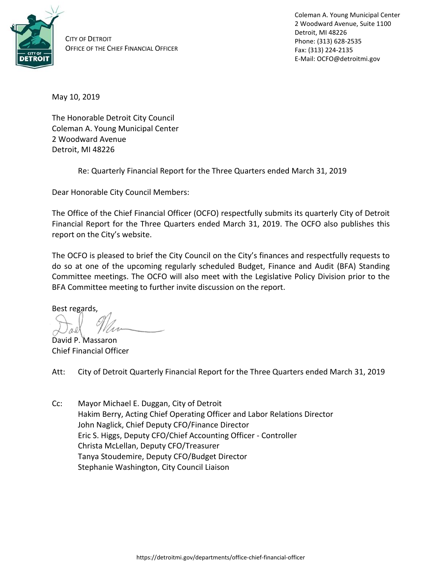

CITY OF DETROIT OFFICE OF THE CHIEF FINANCIAL OFFICER Coleman A. Young Municipal Center 2 Woodward Avenue, Suite 1100 Detroit, MI 48226 Phone: (313) 628-2535 Fax: (313) 224-2135 E-Mail: OCFO@detroitmi.gov

May 10, 2019

The Honorable Detroit City Council Coleman A. Young Municipal Center 2 Woodward Avenue Detroit, MI 48226

Re: Quarterly Financial Report for the Three Quarters ended March 31, 2019

Dear Honorable City Council Members:

The Office of the Chief Financial Officer (OCFO) respectfully submits its quarterly City of Detroit Financial Report for the Three Quarters ended March 31, 2019. The OCFO also publishes this report on the City's website.

The OCFO is pleased to brief the City Council on the City's finances and respectfully requests to do so at one of the upcoming regularly scheduled Budget, Finance and Audit (BFA) Standing Committee meetings. The OCFO will also meet with the Legislative Policy Division prior to the BFA Committee meeting to further invite discussion on the report.

Best regards,

David P. Massaron Chief Financial Officer

Att: City of Detroit Quarterly Financial Report for the Three Quarters ended March 31, 2019

Cc: Mayor Michael E. Duggan, City of Detroit Hakim Berry, Acting Chief Operating Officer and Labor Relations Director John Naglick, Chief Deputy CFO/Finance Director Eric S. Higgs, Deputy CFO/Chief Accounting Officer - Controller Christa McLellan, Deputy CFO/Treasurer Tanya Stoudemire, Deputy CFO/Budget Director Stephanie Washington, City Council Liaison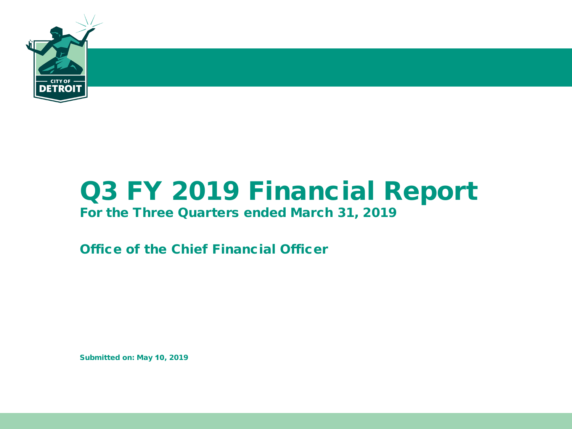

# Q3 FY 2019 Financial Report

### For the Three Quarters ended March 31, 2019

Office of the Chief Financial Officer

Submitted on: May 10, 2019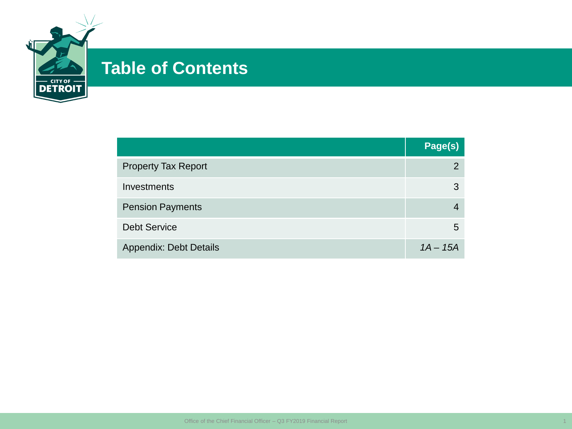

## **Table of Contents**

|                               | Page(s)    |
|-------------------------------|------------|
| <b>Property Tax Report</b>    | 2          |
| Investments                   | 3          |
| <b>Pension Payments</b>       |            |
| <b>Debt Service</b>           | 5          |
| <b>Appendix: Debt Details</b> | $1A - 15A$ |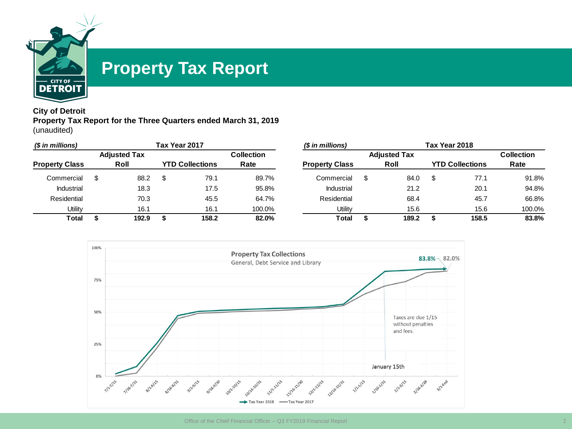

### **Property Tax Report**

#### **City of Detroit Property Tax Report for the Three Quarters ended March 31, 2019** (unaudited)

| (\$ in millions)      |  |             |  | Tax Year 2017          |                   | (\$ in millions)      |   |                     |   | Tax Year 2018          |        |
|-----------------------|--|-------------|--|------------------------|-------------------|-----------------------|---|---------------------|---|------------------------|--------|
| <b>Adjusted Tax</b>   |  |             |  |                        | <b>Collection</b> |                       |   | <b>Adjusted Tax</b> |   | <b>Collection</b>      |        |
| <b>Property Class</b> |  | <b>Roll</b> |  | <b>YTD Collections</b> | Rate              | <b>Property Class</b> |   | Roll                |   | <b>YTD Collections</b> | Rate   |
| Commercial            |  | 88.2        |  | 79.1                   | 89.7%             | Commercial            | S | 84.0                | S | 77.1                   | 91.8%  |
| Industrial            |  | 18.3        |  | 17.5                   | 95.8%             | <b>Industrial</b>     |   | 21.2                |   | 20.1                   | 94.8%  |
| Residential           |  | 70.3        |  | 45.5                   | 64.7%             | Residential           |   | 68.4                |   | 45.7                   | 66.8%  |
| Utilitv               |  | 16.1        |  | 16.1                   | 100.0%            | Utility               |   | 15.6                |   | 15.6                   | 100.0% |
| <b>Total</b>          |  | 192.9       |  | 158.2                  | 82.0%             | Total                 |   | 189.2               |   | 158.5                  | 83.8%  |

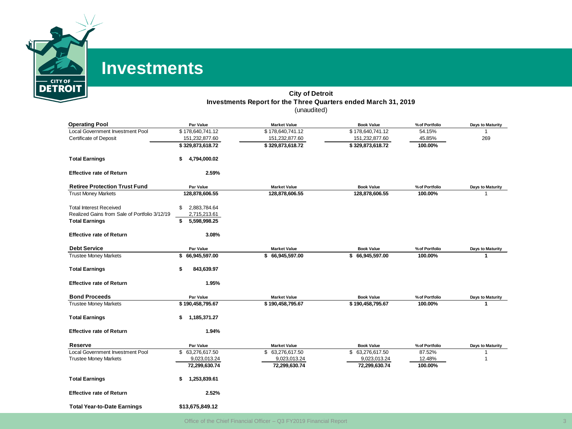

### **Investments**

#### **City of Detroit Investments Report for the Three Quarters ended March 31, 2019** (unaudited)

| <b>Operating Pool</b>                                                           | Par Value                          | <b>Market Value</b> | <b>Book Value</b> | % of Portfolio | Days to Maturity |
|---------------------------------------------------------------------------------|------------------------------------|---------------------|-------------------|----------------|------------------|
| Local Government Investment Pool                                                | \$178,640,741.12                   | \$178,640,741.12    | \$178,640,741.12  | 54.15%         |                  |
| <b>Certificate of Deposit</b>                                                   | 151,232,877.60                     | 151,232,877.60      | 151,232,877.60    | 45.85%         | 269              |
|                                                                                 | \$329,873,618.72                   | \$329,873,618.72    | \$329,873,618.72  | 100.00%        |                  |
| <b>Total Earnings</b>                                                           | 4,794,000.02<br>\$                 |                     |                   |                |                  |
| <b>Effective rate of Return</b>                                                 | 2.59%                              |                     |                   |                |                  |
| <b>Retiree Protection Trust Fund</b>                                            | Par Value                          | <b>Market Value</b> | <b>Book Value</b> | % of Portfolio | Days to Maturity |
| <b>Trust Money Markets</b>                                                      | 128,878,606.55                     | 128,878,606.55      | 128,878,606.55    | 100.00%        |                  |
| <b>Total Interest Received</b><br>Realized Gains from Sale of Portfolio 3/12/19 | 2,883,784.64<br>\$<br>2,715,213.61 |                     |                   |                |                  |
| <b>Total Earnings</b>                                                           | 5,598,998.25<br>\$                 |                     |                   |                |                  |
| <b>Effective rate of Return</b>                                                 | 3.08%                              |                     |                   |                |                  |
| <b>Debt Service</b>                                                             | Par Value                          | <b>Market Value</b> | <b>Book Value</b> | % of Portfolio | Days to Maturity |
| <b>Trustee Money Markets</b>                                                    | \$<br>66,945,597.00                | \$66,945,597.00     | \$66,945,597.00   | 100.00%        | 1                |
| <b>Total Earnings</b>                                                           | 843,639.97<br>\$                   |                     |                   |                |                  |
| <b>Effective rate of Return</b>                                                 | 1.95%                              |                     |                   |                |                  |
| <b>Bond Proceeds</b>                                                            | Par Value                          | <b>Market Value</b> | <b>Book Value</b> | % of Portfolio | Days to Maturity |
| <b>Trustee Money Markets</b>                                                    | \$190,458,795.67                   | \$190,458,795.67    | \$190,458,795.67  | 100.00%        |                  |
| <b>Total Earnings</b>                                                           | \$<br>1,185,371.27                 |                     |                   |                |                  |
| <b>Effective rate of Return</b>                                                 | 1.94%                              |                     |                   |                |                  |
| Reserve                                                                         | Par Value                          | <b>Market Value</b> | <b>Book Value</b> | % of Portfolio | Days to Maturity |
| <b>Local Government Investment Pool</b>                                         | \$ 63,276,617.50                   | \$ 63,276,617.50    | \$ 63,276,617.50  | 87.52%         |                  |
| <b>Trustee Money Markets</b>                                                    | 9,023,013.24                       | 9,023,013.24        | 9,023,013.24      | 12.48%         |                  |
|                                                                                 | 72,299,630.74                      | 72,299,630.74       | 72,299,630.74     | 100.00%        |                  |
| <b>Total Earnings</b>                                                           | 1,253,839.61<br>\$                 |                     |                   |                |                  |
| <b>Effective rate of Return</b>                                                 | 2.52%                              |                     |                   |                |                  |
| <b>Total Year-to-Date Earnings</b>                                              | \$13,675,849.12                    |                     |                   |                |                  |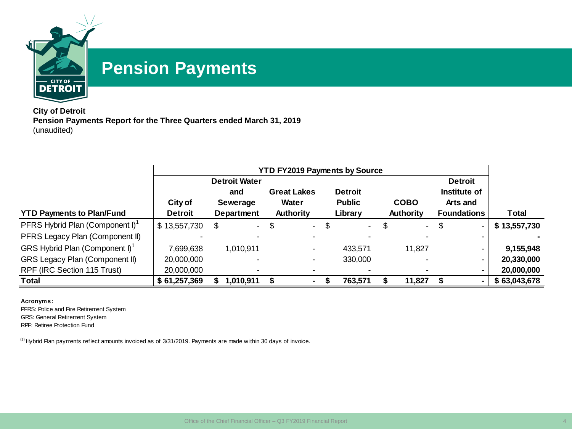

## **Pension Payments**

**City of Detroit Pension Payments Report for the Three Quarters ended March 31, 2019** (unaudited)

|                                             |                |                           | <b>YTD FY2019 Payments by Source</b> |                                |                |              |                    |              |
|---------------------------------------------|----------------|---------------------------|--------------------------------------|--------------------------------|----------------|--------------|--------------------|--------------|
|                                             |                | <b>Detroit Water</b>      |                                      |                                |                |              | <b>Detroit</b>     |              |
|                                             |                | and                       | <b>Great Lakes</b>                   |                                | <b>Detroit</b> |              | Institute of       |              |
|                                             | City of        | Sewerage                  | Water                                |                                | <b>Public</b>  | <b>COBO</b>  | Arts and           |              |
| <b>YTD Payments to Plan/Fund</b>            | <b>Detroit</b> | Department                | Authority                            |                                | Library        | Authority    | <b>Foundations</b> | Total        |
| PFRS Hybrid Plan (Component I) <sup>1</sup> | \$13,557,730   | $\mathcal{L}^{\pm}$<br>\$ | \$                                   | \$<br>$\overline{\phantom{0}}$ | $\sim$         | \$<br>$\sim$ | \$                 | \$13,557,730 |
| PFRS Legacy Plan (Component II)             |                |                           |                                      |                                |                |              | ۰.                 |              |
| GRS Hybrid Plan (Component I) <sup>1</sup>  | 7.699.638      | 1,010,911                 | ۰                                    |                                | 433.571        | 11,827       |                    | 9,155,948    |
| <b>GRS Legacy Plan (Component II)</b>       | 20,000,000     |                           |                                      |                                | 330,000        |              | ۰.                 | 20,330,000   |
| RPF (IRC Section 115 Trust)                 | 20,000,000     |                           |                                      |                                |                |              |                    | 20,000,000   |
| Total                                       | \$61,257,369   | 1,010,911                 |                                      |                                | 763,571        | 11,827       |                    | \$63,043,678 |

**Acronyms:**

PFRS: Police and Fire Retirement System GRS: General Retirement System RPF: Retiree Protection Fund

 $(1)$  Hybrid Plan payments reflect amounts invoiced as of 3/31/2019. Payments are made within 30 days of invoice.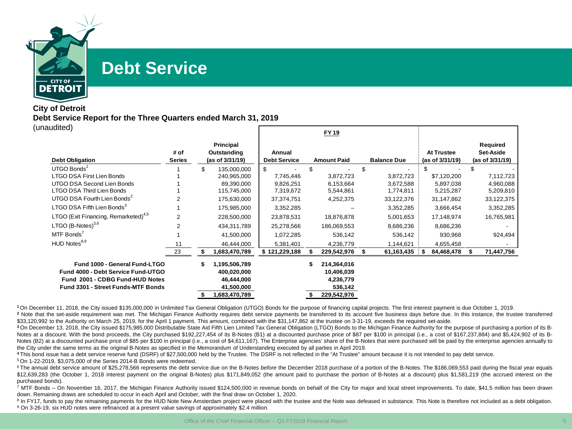

### **Debt Service**

#### **City of Detroit Debt Service Report for the Three Quarters ended March 31, 2019** (unaudited) **FY 19**

|                                                                                                                                              |                       |    |                                                                           |                               | FY 19                                                            |   |                    |      |                                      |    |                                          |
|----------------------------------------------------------------------------------------------------------------------------------------------|-----------------------|----|---------------------------------------------------------------------------|-------------------------------|------------------------------------------------------------------|---|--------------------|------|--------------------------------------|----|------------------------------------------|
| <b>Debt Obligation</b>                                                                                                                       | # of<br><b>Series</b> |    | Principal<br>Outstanding<br>(as of 3/31/19)                               | Annual<br><b>Debt Service</b> | <b>Amount Paid</b>                                               |   | <b>Balance Due</b> |      | <b>At Trustee</b><br>(as of 3/31/19) |    | Required<br>Set-Aside<br>(as of 3/31/19) |
| UTGO Bonds                                                                                                                                   |                       | \$ | 135,000,000                                                               | \$                            |                                                                  |   |                    |      |                                      | \$ |                                          |
| <b>LTGO DSA First Lien Bonds</b>                                                                                                             |                       |    | 240,965,000                                                               | 7,745,446                     | 3,872,723                                                        |   | 3,872,723          |      | \$7,120,200                          |    | 7,112,723                                |
| UTGO DSA Second Lien Bonds                                                                                                                   |                       |    | 89,390,000                                                                | 9,826,251                     | 6,153,664                                                        |   | 3,672,588          |      | 5,897,038                            |    | 4,960,088                                |
| LTGO DSA Third Lien Bonds                                                                                                                    |                       |    | 115,745,000                                                               | 7,319,672                     | 5,544,861                                                        |   | 1,774,811          |      | 5,215,287                            |    | 5,209,810                                |
| UTGO DSA Fourth Lien Bonds <sup>2</sup>                                                                                                      |                       |    | 175,630,000                                                               | 37, 374, 751                  | 4,252,375                                                        |   | 33,122,376         |      | 31,147,862                           |    | 33,122,375                               |
| LTGO DSA Fifth Lien Bonds <sup>3</sup>                                                                                                       |                       |    | 175,985,000                                                               | 3,352,285                     |                                                                  |   | 3,352,285          |      | 3,666,454                            |    | 3,352,285                                |
| LTGO (Exit Financing, Remarketed) <sup>4,5</sup>                                                                                             | $\overline{2}$        |    | 228,500,000                                                               | 23,878,531                    | 18,876,878                                                       |   | 5,001,653          |      | 17,148,974                           |    | 16,765,981                               |
| LTGO $(B\text{-Notes})^{3,6}$                                                                                                                |                       |    | 434,311,789                                                               | 25,278,566                    | 186,069,553                                                      |   | 8,686,236          |      | 8,686,236                            |    |                                          |
| MTF Bonds                                                                                                                                    |                       |    | 41,500,000                                                                | 1,072,285                     | 536,142                                                          |   | 536,142            |      | 930,968                              |    | 924,494                                  |
| HUD Notes <sup>8,9</sup>                                                                                                                     | 11                    |    | 46,444,000                                                                | 5,381,401                     | 4,236,779                                                        |   | 1,144,621          |      | 4,655,458                            |    |                                          |
|                                                                                                                                              | 23                    | Я  | 683,470,789,                                                              | \$121,229,188                 | 229,542,976                                                      | S | 61,163,435         | - \$ | 84,468,478                           | S  | 71,447,756                               |
| Fund 1000 - General Fund-LTGO<br>Fund 4000 - Debt Service Fund-UTGO<br>Fund 2001 - CDBG Fund-HUD Notes<br>Fund 3301 - Street Funds-MTF Bonds |                       | \$ | 1,195,506,789<br>400,020,000<br>46,444,000<br>41,500,000<br>1,683,470,789 |                               | 214,364,016<br>10,406,039<br>4,236,779<br>536,142<br>229,542,976 |   |                    |      |                                      |    |                                          |

**<sup>1</sup>** On December 11, 2018, the City issued \$135,000,000 in Unlimited Tax General Obligation (UTGO) Bonds for the purpose of financing capital projects. The first interest payment is due October 1, 2019.

<sup>2</sup> Note that the set-aside requirement was met. The Michigan Finance Authority requires debt service payments be transferred to its account five business days before due. In this instance, the trustee transferred \$33,120,992 to the Authority on March 25, 2019, for the April 1 payment. This amount, combined with the \$31,147,862 at the trustee on 3-31-19, exceeds the required set-aside.

**<sup>3</sup>** On December 13, 2018, the City issued \$175,985,000 Distributable State Aid Fifth Lien Limited Tax General Obligation (LTGO) Bonds to the Michigan Finance Authority for the purpose of purchasing a portion of its B-Notes at a discount. With the bond proceeds, the City purchased \$192,227,454 of its B-Notes (B1) at a discounted purchase price of \$87 per \$100 in principal (i.e., a cost of \$167,237,884) and \$5,424,902 of its B-Notes (B2) at a discounted purchase price of \$85 per \$100 in principal (i.e., a cost of \$4,611,167). The Enterprise agencies' share of the B-Notes that were purchased will be paid by the enterprise agencies annually to the City under the same terms as the original B-Notes as specified in the Memorandum of Understanding executed by all parties in April 2019.

**<sup>4</sup>** This bond issue has a debt service reserve fund (DSRF) of \$27,500,000 held by the Trustee. The DSRF is not reflected in the "At Trustee" amount because it is not intended to pay debt service.

<sup>5</sup> On 1-22-2019, \$3,075,000 of the Series 2014-B Bonds were redeemed.

<sup>6</sup> The annual debt service amount of \$25,278,566 represents the debt service due on the B-Notes *before* the December 2018 purchase of a portion of the B-Notes. The \$186,069,553 paid during the fiscal year equals \$12,639,283 (the October 1, 2018 interest payment on the original B-Notes) plus \$171,849,052 (the amount paid to purchase the portion of B-Notes at a discount) plus \$1,581,219 (the accrued interest on the purchased bonds).

<sup>7</sup> MTF Bonds – On November 16, 2017, the Michigan Finance Authority issued \$124,500,000 in revenue bonds on behalf of the City for major and local street improvements. To date, \$41.5 million has been drawn down. Remaining draws are scheduled to occur in each April and October, with the final draw on October 1, 2020.

<sup>8</sup> In FY17, funds to pay the remaining payments for the HUD Note New Amsterdam project were placed with the trustee and the Note was defeased in substance. This Note is therefore not included as a debt obligation. <sup>9</sup> On 3-26-19, six HUD notes were refinanced at a present value savings of approximately \$2.4 million.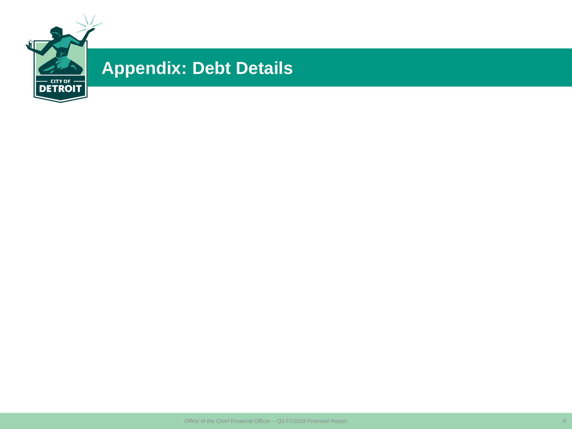

# **Appendix: Debt Details**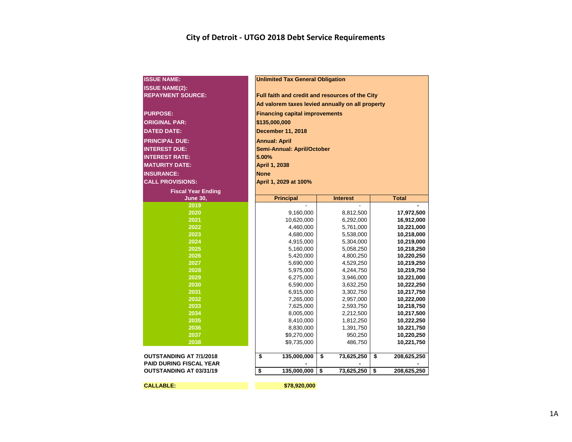#### **City of Detroit - UTGO 2018 Debt Service Requirements**

| <b>ISSUE NAME:</b>             |             | <b>Unlimited Tax General Obligation</b>          |                 |                        |    |                          |  |  |  |  |  |  |  |
|--------------------------------|-------------|--------------------------------------------------|-----------------|------------------------|----|--------------------------|--|--|--|--|--|--|--|
| <b>ISSUE NAME(2):</b>          |             |                                                  |                 |                        |    |                          |  |  |  |  |  |  |  |
| <b>REPAYMENT SOURCE:</b>       |             | Full faith and credit and resources of the City  |                 |                        |    |                          |  |  |  |  |  |  |  |
|                                |             | Ad valorem taxes levied annually on all property |                 |                        |    |                          |  |  |  |  |  |  |  |
| <b>PURPOSE:</b>                |             | <b>Financing capital improvements</b>            |                 |                        |    |                          |  |  |  |  |  |  |  |
| <b>ORIGINAL PAR:</b>           |             | \$135,000,000                                    |                 |                        |    |                          |  |  |  |  |  |  |  |
| <b>DATED DATE:</b>             |             | <b>December 11, 2018</b>                         |                 |                        |    |                          |  |  |  |  |  |  |  |
| <b>PRINCIPAL DUE:</b>          |             |                                                  |                 |                        |    |                          |  |  |  |  |  |  |  |
| <b>INTEREST DUE:</b>           |             | <b>Annual: April</b>                             |                 |                        |    |                          |  |  |  |  |  |  |  |
| <b>INTEREST RATE:</b>          |             | Semi-Annual: April/October                       |                 |                        |    |                          |  |  |  |  |  |  |  |
| <b>MATURITY DATE:</b>          |             | 5.00%<br><b>April 1, 2038</b>                    |                 |                        |    |                          |  |  |  |  |  |  |  |
|                                |             |                                                  |                 |                        |    |                          |  |  |  |  |  |  |  |
| <b>INSURANCE:</b>              | <b>None</b> |                                                  |                 |                        |    |                          |  |  |  |  |  |  |  |
| <b>CALL PROVISIONS:</b>        |             | April 1, 2029 at 100%                            |                 |                        |    |                          |  |  |  |  |  |  |  |
| <b>Fiscal Year Ending</b>      |             |                                                  |                 |                        |    |                          |  |  |  |  |  |  |  |
| <b>June 30,</b>                |             | <b>Principal</b>                                 | <b>Interest</b> |                        |    | <b>Total</b>             |  |  |  |  |  |  |  |
| 2019                           |             |                                                  |                 |                        |    |                          |  |  |  |  |  |  |  |
| 2020<br>2021                   |             | 9,160,000                                        |                 | 8,812,500              |    | 17,972,500               |  |  |  |  |  |  |  |
| 2022                           |             | 10,620,000<br>4,460,000                          |                 | 6,292,000<br>5,761,000 |    | 16,912,000<br>10,221,000 |  |  |  |  |  |  |  |
| 2023                           |             | 4,680,000                                        |                 | 5,538,000              |    | 10,218,000               |  |  |  |  |  |  |  |
| 2024                           |             | 4,915,000                                        |                 | 5,304,000              |    | 10,219,000               |  |  |  |  |  |  |  |
| 2025                           |             | 5,160,000                                        |                 | 5,058,250              |    | 10,218,250               |  |  |  |  |  |  |  |
| 2026                           |             | 5,420,000                                        |                 | 4,800,250              |    | 10,220,250               |  |  |  |  |  |  |  |
| 2027                           |             | 5,690,000                                        |                 | 4,529,250              |    | 10,219,250               |  |  |  |  |  |  |  |
| 2028                           |             | 5,975,000                                        |                 | 4,244,750              |    | 10,219,750               |  |  |  |  |  |  |  |
| 2029                           |             | 6,275,000                                        |                 | 3,946,000              |    | 10,221,000               |  |  |  |  |  |  |  |
| 2030                           |             | 6,590,000                                        |                 | 3,632,250              |    | 10,222,250               |  |  |  |  |  |  |  |
| 2031                           |             | 6,915,000                                        |                 | 3,302,750              |    | 10,217,750               |  |  |  |  |  |  |  |
| 2032                           |             | 7,265,000                                        |                 | 2,957,000              |    | 10,222,000               |  |  |  |  |  |  |  |
| 2033                           |             | 7,625,000                                        |                 | 2,593,750              |    | 10,218,750               |  |  |  |  |  |  |  |
| 2034                           |             | 8,005,000                                        |                 | 2,212,500              |    | 10,217,500               |  |  |  |  |  |  |  |
| 2035                           |             | 8,410,000                                        |                 | 1,812,250              |    | 10,222,250               |  |  |  |  |  |  |  |
| 2036                           |             | 8,830,000                                        |                 | 1,391,750              |    | 10,221,750               |  |  |  |  |  |  |  |
| 2037                           |             | \$9,270,000                                      |                 | 950,250                |    | 10,220,250               |  |  |  |  |  |  |  |
| 2038                           |             | \$9,735,000                                      |                 | 486,750                |    | 10,221,750               |  |  |  |  |  |  |  |
| OUTSTANDING AT 7/1/2018        | \$          | 135,000,000                                      | \$              | 73,625,250             | \$ | 208,625,250              |  |  |  |  |  |  |  |
| <b>PAID DURING FISCAL YEAR</b> |             |                                                  |                 |                        |    |                          |  |  |  |  |  |  |  |
| <b>OUTSTANDING AT 03/31/19</b> | \$          | 135,000,000                                      | \$              | 73,625,250             | \$ | 208,625,250              |  |  |  |  |  |  |  |
| <b>CALLABLE:</b>               |             | \$78,920,000                                     |                 |                        |    |                          |  |  |  |  |  |  |  |
|                                |             |                                                  |                 |                        |    |                          |  |  |  |  |  |  |  |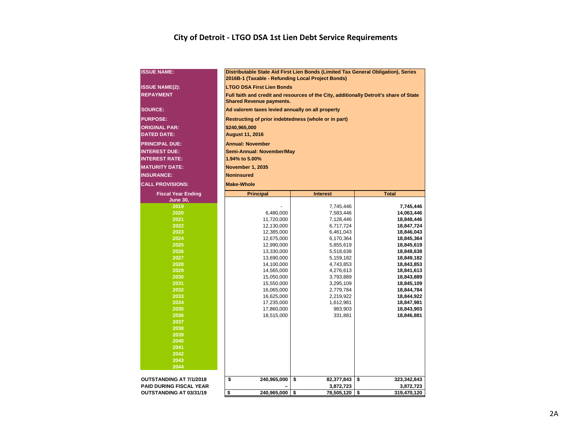#### **City of Detroit - LTGO DSA 1st Lien Debt Service Requirements**

| <b>ISSUE NAME:</b>             | Distributable State Aid First Lien Bonds (Limited Tax General Obligation), Series                                         |                                                      |                          |  |  |  |  |  |  |  |  |  |  |  |  |
|--------------------------------|---------------------------------------------------------------------------------------------------------------------------|------------------------------------------------------|--------------------------|--|--|--|--|--|--|--|--|--|--|--|--|
| <b>ISSUE NAME(2):</b>          | 2016B-1 (Taxable - Refunding Local Project Bonds)<br><b>LTGO DSA First Lien Bonds</b>                                     |                                                      |                          |  |  |  |  |  |  |  |  |  |  |  |  |
| <b>REPAYMENT</b>               | Full faith and credit and resources of the City, additionally Detroit's share of State<br><b>Shared Revenue payments.</b> |                                                      |                          |  |  |  |  |  |  |  |  |  |  |  |  |
| <b>SOURCE:</b>                 |                                                                                                                           | Ad valorem taxes levied annually on all property     |                          |  |  |  |  |  |  |  |  |  |  |  |  |
| <b>PURPOSE:</b>                |                                                                                                                           | Restructing of prior indebtedness (whole or in part) |                          |  |  |  |  |  |  |  |  |  |  |  |  |
| <b>ORIGINAL PAR:</b>           |                                                                                                                           | \$240,965,000                                        |                          |  |  |  |  |  |  |  |  |  |  |  |  |
| <b>DATED DATE:</b>             | <b>August 11, 2016</b>                                                                                                    |                                                      |                          |  |  |  |  |  |  |  |  |  |  |  |  |
| <b>PRINCIPAL DUE:</b>          | <b>Annual: November</b>                                                                                                   |                                                      |                          |  |  |  |  |  |  |  |  |  |  |  |  |
| <b>INTEREST DUE:</b>           |                                                                                                                           | Semi-Annual: November/May                            |                          |  |  |  |  |  |  |  |  |  |  |  |  |
| <b>INTEREST RATE:</b>          | 1.94% to 5.00%                                                                                                            |                                                      |                          |  |  |  |  |  |  |  |  |  |  |  |  |
| <b>MATURITY DATE:</b>          | <b>November 1, 2035</b>                                                                                                   |                                                      |                          |  |  |  |  |  |  |  |  |  |  |  |  |
| <b>INSURANCE:</b>              | <b>Noninsured</b>                                                                                                         |                                                      |                          |  |  |  |  |  |  |  |  |  |  |  |  |
| <b>CALL PROVISIONS:</b>        | <b>Make-Whole</b>                                                                                                         |                                                      |                          |  |  |  |  |  |  |  |  |  |  |  |  |
| <b>Fiscal Year Ending</b>      | <b>Principal</b>                                                                                                          | <b>Interest</b>                                      | <b>Total</b>             |  |  |  |  |  |  |  |  |  |  |  |  |
| <b>June 30,</b>                |                                                                                                                           |                                                      |                          |  |  |  |  |  |  |  |  |  |  |  |  |
| 2019                           |                                                                                                                           | 7,745,446                                            | 7,745,446                |  |  |  |  |  |  |  |  |  |  |  |  |
| 2020                           | 6,480,000                                                                                                                 | 7,583,446                                            | 14,063,446               |  |  |  |  |  |  |  |  |  |  |  |  |
| 2021                           | 11,720,000                                                                                                                | 7,128,446                                            | 18,848,446               |  |  |  |  |  |  |  |  |  |  |  |  |
| 2022                           | 12,130,000                                                                                                                | 6,717,724                                            | 18,847,724               |  |  |  |  |  |  |  |  |  |  |  |  |
| 2023                           | 12,385,000                                                                                                                | 6,461,043                                            | 18,846,043               |  |  |  |  |  |  |  |  |  |  |  |  |
| 2024                           | 12,675,000                                                                                                                | 6,170,364                                            | 18,845,364               |  |  |  |  |  |  |  |  |  |  |  |  |
| 2025                           | 12,990,000                                                                                                                | 5,855,619                                            | 18,845,619               |  |  |  |  |  |  |  |  |  |  |  |  |
| 2026<br>2027                   | 13,330,000                                                                                                                | 5,518,638                                            | 18,848,638               |  |  |  |  |  |  |  |  |  |  |  |  |
| 2028                           | 13,690,000<br>14,100,000                                                                                                  | 5,159,182<br>4,743,853                               | 18,849,182<br>18,843,853 |  |  |  |  |  |  |  |  |  |  |  |  |
| 2029                           | 14,565,000                                                                                                                | 4,276,613                                            | 18,841,613               |  |  |  |  |  |  |  |  |  |  |  |  |
| 2030                           | 15,050,000                                                                                                                | 3,793,889                                            | 18,843,889               |  |  |  |  |  |  |  |  |  |  |  |  |
| 2031                           | 15,550,000                                                                                                                | 3,295,109                                            | 18,845,109               |  |  |  |  |  |  |  |  |  |  |  |  |
| 2032                           | 16,065,000                                                                                                                | 2,779,784                                            | 18,844,784               |  |  |  |  |  |  |  |  |  |  |  |  |
| 2033                           | 16,625,000                                                                                                                | 2,219,922                                            | 18,844,922               |  |  |  |  |  |  |  |  |  |  |  |  |
| 2034                           | 17,235,000                                                                                                                | 1,612,981                                            | 18,847,981               |  |  |  |  |  |  |  |  |  |  |  |  |
| 2035                           | 17,860,000                                                                                                                | 983,903                                              | 18,843,903               |  |  |  |  |  |  |  |  |  |  |  |  |
| 2036                           | 18,515,000                                                                                                                | 331,881                                              | 18,846,881               |  |  |  |  |  |  |  |  |  |  |  |  |
| 2037                           |                                                                                                                           |                                                      |                          |  |  |  |  |  |  |  |  |  |  |  |  |
| 2038                           |                                                                                                                           |                                                      |                          |  |  |  |  |  |  |  |  |  |  |  |  |
| 2039                           |                                                                                                                           |                                                      |                          |  |  |  |  |  |  |  |  |  |  |  |  |
| 2040                           |                                                                                                                           |                                                      |                          |  |  |  |  |  |  |  |  |  |  |  |  |
| 2041                           |                                                                                                                           |                                                      |                          |  |  |  |  |  |  |  |  |  |  |  |  |
| 2042                           |                                                                                                                           |                                                      |                          |  |  |  |  |  |  |  |  |  |  |  |  |
| 2043<br>2044                   |                                                                                                                           |                                                      |                          |  |  |  |  |  |  |  |  |  |  |  |  |
|                                |                                                                                                                           |                                                      |                          |  |  |  |  |  |  |  |  |  |  |  |  |
| OUTSTANDING AT 7/1/2018        | \$<br>240,965,000                                                                                                         | \$<br>82,377,843                                     | 323,342,843<br>\$        |  |  |  |  |  |  |  |  |  |  |  |  |
| <b>PAID DURING FISCAL YEAR</b> |                                                                                                                           | 3,872,723                                            | 3,872,723                |  |  |  |  |  |  |  |  |  |  |  |  |
| OUTSTANDING AT 03/31/19        | \$<br>240,965,000 \$                                                                                                      | 78,505,120 \$                                        | 319,470,120              |  |  |  |  |  |  |  |  |  |  |  |  |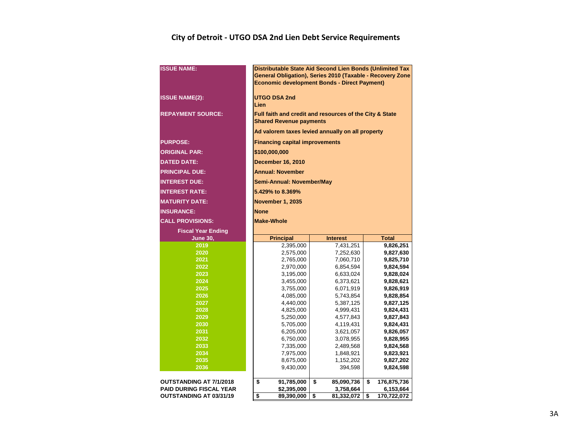#### **City of Detroit - UTGO DSA 2nd Lien Debt Service Requirements**

| <b>ISSUE NAME:</b>                                        | Distributable State Aid Second Lien Bonds (Unlimited Tax<br>General Obligation), Series 2010 (Taxable - Recovery Zone<br><b>Economic development Bonds - Direct Payment)</b> |                               |                                |  |  |  |  |  |  |  |  |  |  |  |
|-----------------------------------------------------------|------------------------------------------------------------------------------------------------------------------------------------------------------------------------------|-------------------------------|--------------------------------|--|--|--|--|--|--|--|--|--|--|--|
| <b>ISSUE NAME(2):</b>                                     | <b>UTGO DSA 2nd</b><br>Lien                                                                                                                                                  |                               |                                |  |  |  |  |  |  |  |  |  |  |  |
| <b>REPAYMENT SOURCE:</b>                                  | Full faith and credit and resources of the City & State<br><b>Shared Revenue payments</b>                                                                                    |                               |                                |  |  |  |  |  |  |  |  |  |  |  |
|                                                           | Ad valorem taxes levied annually on all property                                                                                                                             |                               |                                |  |  |  |  |  |  |  |  |  |  |  |
| <b>PURPOSE:</b>                                           | <b>Financing capital improvements</b>                                                                                                                                        |                               |                                |  |  |  |  |  |  |  |  |  |  |  |
| <b>ORIGINAL PAR:</b>                                      | \$100,000,000                                                                                                                                                                |                               |                                |  |  |  |  |  |  |  |  |  |  |  |
| <b>DATED DATE:</b>                                        | <b>December 16, 2010</b>                                                                                                                                                     |                               |                                |  |  |  |  |  |  |  |  |  |  |  |
| <b>PRINCIPAL DUE:</b>                                     | <b>Annual: November</b>                                                                                                                                                      |                               |                                |  |  |  |  |  |  |  |  |  |  |  |
| <b>INTEREST DUE:</b>                                      | Semi-Annual: November/May                                                                                                                                                    |                               |                                |  |  |  |  |  |  |  |  |  |  |  |
| <b>INTEREST RATE:</b>                                     | 5.429% to 8.369%                                                                                                                                                             |                               |                                |  |  |  |  |  |  |  |  |  |  |  |
| <b>MATURITY DATE:</b>                                     | <b>November 1, 2035</b>                                                                                                                                                      |                               |                                |  |  |  |  |  |  |  |  |  |  |  |
| <b>INSURANCE:</b>                                         | <b>None</b>                                                                                                                                                                  |                               |                                |  |  |  |  |  |  |  |  |  |  |  |
| <b>CALL PROVISIONS:</b>                                   | <b>Make-Whole</b>                                                                                                                                                            |                               |                                |  |  |  |  |  |  |  |  |  |  |  |
| <b>Fiscal Year Ending</b>                                 |                                                                                                                                                                              |                               |                                |  |  |  |  |  |  |  |  |  |  |  |
|                                                           | <b>Principal</b><br><b>Total</b><br><b>Interest</b>                                                                                                                          |                               |                                |  |  |  |  |  |  |  |  |  |  |  |
| <b>June 30,</b>                                           |                                                                                                                                                                              |                               |                                |  |  |  |  |  |  |  |  |  |  |  |
| 2019                                                      | 2,395,000                                                                                                                                                                    | 7,431,251                     | 9,826,251                      |  |  |  |  |  |  |  |  |  |  |  |
| 2020                                                      | 2,575,000                                                                                                                                                                    | 7,252,630                     | 9,827,630                      |  |  |  |  |  |  |  |  |  |  |  |
| 2021                                                      | 2,765,000                                                                                                                                                                    | 7,060,710                     | 9,825,710                      |  |  |  |  |  |  |  |  |  |  |  |
| 2022                                                      | 2,970,000                                                                                                                                                                    | 6,854,594                     | 9,824,594                      |  |  |  |  |  |  |  |  |  |  |  |
| 2023                                                      | 3,195,000                                                                                                                                                                    | 6,633,024                     | 9,828,024                      |  |  |  |  |  |  |  |  |  |  |  |
| 2024                                                      | 3,455,000                                                                                                                                                                    | 6,373,621                     | 9,828,621                      |  |  |  |  |  |  |  |  |  |  |  |
| 2025<br>2026                                              | 3,755,000                                                                                                                                                                    | 6,071,919                     | 9,826,919                      |  |  |  |  |  |  |  |  |  |  |  |
| 2027                                                      | 4,085,000                                                                                                                                                                    | 5,743,854<br>5,387,125        | 9,828,854<br>9,827,125         |  |  |  |  |  |  |  |  |  |  |  |
| 2028                                                      | 4,440,000<br>4,825,000                                                                                                                                                       | 4,999,431                     | 9,824,431                      |  |  |  |  |  |  |  |  |  |  |  |
| 2029                                                      | 5,250,000                                                                                                                                                                    | 4,577,843                     | 9,827,843                      |  |  |  |  |  |  |  |  |  |  |  |
| 2030                                                      | 5,705,000                                                                                                                                                                    | 4,119,431                     | 9,824,431                      |  |  |  |  |  |  |  |  |  |  |  |
| 2031                                                      | 6,205,000                                                                                                                                                                    | 3,621,057                     | 9,826,057                      |  |  |  |  |  |  |  |  |  |  |  |
| 2032                                                      | 6,750,000                                                                                                                                                                    | 3,078,955                     | 9,828,955                      |  |  |  |  |  |  |  |  |  |  |  |
| 2033                                                      | 7,335,000                                                                                                                                                                    | 2,489,568                     | 9,824,568                      |  |  |  |  |  |  |  |  |  |  |  |
| 2034                                                      | 7,975,000                                                                                                                                                                    | 1,848,921                     | 9,823,921                      |  |  |  |  |  |  |  |  |  |  |  |
| 2035                                                      | 8,675,000                                                                                                                                                                    | 1,152,202                     | 9,827,202                      |  |  |  |  |  |  |  |  |  |  |  |
| 2036                                                      | 9,430,000                                                                                                                                                                    | 394,598                       | 9,824,598                      |  |  |  |  |  |  |  |  |  |  |  |
| OUTSTANDING AT 7/1/2018                                   | \$<br>91,785,000                                                                                                                                                             | \$<br>85,090,736              | \$<br>176,875,736              |  |  |  |  |  |  |  |  |  |  |  |
| <b>PAID DURING FISCAL YEAR</b><br>OUTSTANDING AT 03/31/19 | \$2,395,000<br>\$<br>89,390,000                                                                                                                                              | 3,758,664<br>\$<br>81,332,072 | 6,153,664<br>\$<br>170,722,072 |  |  |  |  |  |  |  |  |  |  |  |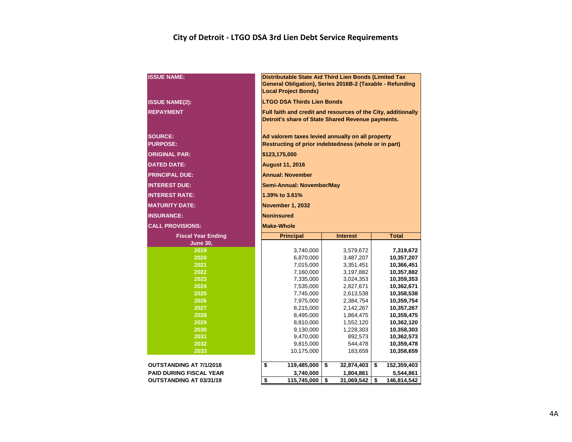#### **City of Detroit - LTGO DSA 3rd Lien Debt Service Requirements**

| <b>ISSUE NAME:</b>                | Distributable State Aid Third Lien Bonds (Limited Tax<br>General Obligation), Series 2016B-2 (Taxable - Refunding<br><b>Local Project Bonds)</b> |                        |                          |  |  |  |  |  |  |  |  |  |  |
|-----------------------------------|--------------------------------------------------------------------------------------------------------------------------------------------------|------------------------|--------------------------|--|--|--|--|--|--|--|--|--|--|
| <b>ISSUE NAME(2):</b>             | <b>LTGO DSA Thirds Lien Bonds</b>                                                                                                                |                        |                          |  |  |  |  |  |  |  |  |  |  |
| <b>REPAYMENT</b>                  | Full faith and credit and resources of the City, additionally<br>Detroit's share of State Shared Revenue payments.                               |                        |                          |  |  |  |  |  |  |  |  |  |  |
| <b>SOURCE:</b><br><b>PURPOSE:</b> | Ad valorem taxes levied annually on all property<br>Restructing of prior indebtedness (whole or in part)                                         |                        |                          |  |  |  |  |  |  |  |  |  |  |
| <b>ORIGINAL PAR:</b>              | \$123,175,000                                                                                                                                    |                        |                          |  |  |  |  |  |  |  |  |  |  |
| <b>DATED DATE:</b>                | <b>August 11, 2016</b>                                                                                                                           |                        |                          |  |  |  |  |  |  |  |  |  |  |
| <b>PRINCIPAL DUE:</b>             | <b>Annual: November</b>                                                                                                                          |                        |                          |  |  |  |  |  |  |  |  |  |  |
| <b>INTEREST DUE:</b>              | Semi-Annual: November/May                                                                                                                        |                        |                          |  |  |  |  |  |  |  |  |  |  |
| <b>INTEREST RATE:</b>             | 1.39% to 3.61%                                                                                                                                   |                        |                          |  |  |  |  |  |  |  |  |  |  |
| <b>MATURITY DATE:</b>             | November 1, 2032                                                                                                                                 |                        |                          |  |  |  |  |  |  |  |  |  |  |
| <b>INSURANCE:</b>                 | <b>Noninsured</b>                                                                                                                                |                        |                          |  |  |  |  |  |  |  |  |  |  |
| <b>CALL PROVISIONS:</b>           | <b>Make-Whole</b>                                                                                                                                |                        |                          |  |  |  |  |  |  |  |  |  |  |
| <b>Fiscal Year Ending</b>         | <b>Principal</b>                                                                                                                                 | <b>Interest</b>        | <b>Total</b>             |  |  |  |  |  |  |  |  |  |  |
| <b>June 30,</b>                   |                                                                                                                                                  |                        |                          |  |  |  |  |  |  |  |  |  |  |
| 2019                              | 3,740,000                                                                                                                                        | 3,579,672              | 7,319,672                |  |  |  |  |  |  |  |  |  |  |
| 2020                              | 6,870,000                                                                                                                                        | 3,487,207              | 10,357,207               |  |  |  |  |  |  |  |  |  |  |
| 2021                              | 7,015,000                                                                                                                                        | 3,351,451              | 10,366,451               |  |  |  |  |  |  |  |  |  |  |
| 2022                              | 7,160,000                                                                                                                                        | 3,197,882              | 10,357,882               |  |  |  |  |  |  |  |  |  |  |
| 2023<br>2024                      | 7,335,000<br>7,535,000                                                                                                                           | 3,024,353              | 10,359,353<br>10,362,671 |  |  |  |  |  |  |  |  |  |  |
| 2025                              | 7,745,000                                                                                                                                        | 2,827,671<br>2,613,538 | 10,358,538               |  |  |  |  |  |  |  |  |  |  |
| 2026                              | 7,975,000                                                                                                                                        | 2,384,754              | 10,359,754               |  |  |  |  |  |  |  |  |  |  |
| 2027                              | 8,215,000                                                                                                                                        | 2,142,267              | 10,357,267               |  |  |  |  |  |  |  |  |  |  |
| 2028                              | 8,495,000                                                                                                                                        | 1,864,475              | 10,359,475               |  |  |  |  |  |  |  |  |  |  |
| 2029                              | 8,810,000                                                                                                                                        | 1,552,120              | 10,362,120               |  |  |  |  |  |  |  |  |  |  |
| 2030                              | 9,130,000                                                                                                                                        | 1,228,303              | 10,358,303               |  |  |  |  |  |  |  |  |  |  |
| 2031                              | 9,470,000                                                                                                                                        | 892,573                | 10,362,573               |  |  |  |  |  |  |  |  |  |  |
| 2032                              | 9,815,000                                                                                                                                        | 544,478                | 10,359,478               |  |  |  |  |  |  |  |  |  |  |
| 2033                              | 10,175,000                                                                                                                                       | 183,659                | 10,358,659               |  |  |  |  |  |  |  |  |  |  |
| OUTSTANDING AT 7/1/2018           | \$<br>119,485,000                                                                                                                                | \$<br>32,874,403       | \$<br>152,359,403        |  |  |  |  |  |  |  |  |  |  |
| <b>PAID DURING FISCAL YEAR</b>    | 3,740,000                                                                                                                                        | 1,804,861              | 5,544,861                |  |  |  |  |  |  |  |  |  |  |
| <b>OUTSTANDING AT 03/31/19</b>    | \$<br>115,745,000                                                                                                                                | \$<br>31,069,542       | \$<br>146,814,542        |  |  |  |  |  |  |  |  |  |  |
|                                   |                                                                                                                                                  |                        |                          |  |  |  |  |  |  |  |  |  |  |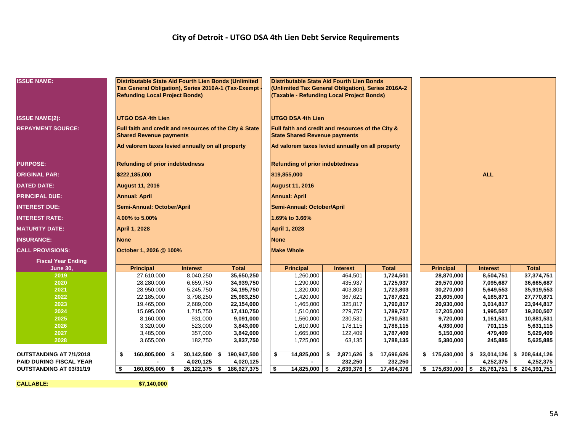#### **City of Detroit - UTGO DSA 4th Lien Debt Service Requirements**

| <b>ISSUE NAME:</b>             | <b>Refunding Local Project Bonds)</b>  |                                                  | Distributable State Aid Fourth Lien Bonds (Unlimited<br>Tax General Obligation), Series 2016A-1 (Tax-Exempt | <b>Distributable State Aid Fourth Lien Bonds</b><br>(Unlimited Tax General Obligation), Series 2016A-2<br>(Taxable - Refunding Local Project Bonds) |    |                 |    |              |                    |                 |                             |
|--------------------------------|----------------------------------------|--------------------------------------------------|-------------------------------------------------------------------------------------------------------------|-----------------------------------------------------------------------------------------------------------------------------------------------------|----|-----------------|----|--------------|--------------------|-----------------|-----------------------------|
| <b>ISSUE NAME(2):</b>          | <b>UTGO DSA 4th Lien</b>               |                                                  |                                                                                                             | <b>UTGO DSA 4th Lien</b>                                                                                                                            |    |                 |    |              |                    |                 |                             |
| <b>REPAYMENT SOURCE:</b>       | <b>Shared Revenue payments</b>         |                                                  | Full faith and credit and resources of the City & State                                                     | Full faith and credit and resources of the City &<br><b>State Shared Revenue payments</b>                                                           |    |                 |    |              |                    |                 |                             |
|                                |                                        | Ad valorem taxes levied annually on all property |                                                                                                             | Ad valorem taxes levied annually on all property                                                                                                    |    |                 |    |              |                    |                 |                             |
| <b>PURPOSE:</b>                | <b>Refunding of prior indebtedness</b> |                                                  |                                                                                                             | <b>Refunding of prior indebtedness</b>                                                                                                              |    |                 |    |              |                    |                 |                             |
| <b>ORIGINAL PAR:</b>           | \$222,185,000                          |                                                  |                                                                                                             | \$19,855,000                                                                                                                                        |    |                 |    |              |                    | <b>ALL</b>      |                             |
| <b>DATED DATE:</b>             | <b>August 11, 2016</b>                 |                                                  |                                                                                                             | <b>August 11, 2016</b>                                                                                                                              |    |                 |    |              |                    |                 |                             |
| <b>PRINCIPAL DUE:</b>          | <b>Annual: April</b>                   |                                                  |                                                                                                             | <b>Annual: April</b>                                                                                                                                |    |                 |    |              |                    |                 |                             |
| <b>INTEREST DUE:</b>           | Semi-Annual: October/April             |                                                  |                                                                                                             | Semi-Annual: October/April                                                                                                                          |    |                 |    |              |                    |                 |                             |
| <b>INTEREST RATE:</b>          | 4.00% to 5.00%                         |                                                  |                                                                                                             | 1.69% to 3.66%                                                                                                                                      |    |                 |    |              |                    |                 |                             |
| <b>MATURITY DATE:</b>          | <b>April 1, 2028</b>                   |                                                  |                                                                                                             | <b>April 1, 2028</b>                                                                                                                                |    |                 |    |              |                    |                 |                             |
| <b>INSURANCE:</b>              | <b>None</b>                            |                                                  |                                                                                                             | <b>None</b>                                                                                                                                         |    |                 |    |              |                    |                 |                             |
| <b>CALL PROVISIONS:</b>        | October 1, 2026 @ 100%                 |                                                  |                                                                                                             | <b>Make Whole</b>                                                                                                                                   |    |                 |    |              |                    |                 |                             |
| <b>Fiscal Year Ending</b>      |                                        |                                                  |                                                                                                             |                                                                                                                                                     |    |                 |    |              |                    |                 |                             |
| <b>June 30,</b>                | <b>Principal</b>                       | <b>Interest</b>                                  | <b>Total</b>                                                                                                | <b>Principal</b>                                                                                                                                    |    | <b>Interest</b> |    | <b>Total</b> | <b>Principal</b>   | <b>Interest</b> | <b>Total</b>                |
| 2019                           | 27,610,000                             | 8,040,250                                        | 35,650,250                                                                                                  | 1,260,000                                                                                                                                           |    | 464,501         |    | 1,724,501    | 28,870,000         | 8,504,751       | 37,374,751                  |
| 2020                           | 28,280,000                             | 6,659,750                                        | 34,939,750                                                                                                  | 1,290,000                                                                                                                                           |    | 435,937         |    | 1,725,937    | 29,570,000         | 7,095,687       | 36,665,687                  |
| 2021                           | 28,950,000                             | 5,245,750                                        | 34,195,750                                                                                                  | 1,320,000                                                                                                                                           |    | 403,803         |    | 1,723,803    | 30,270,000         | 5,649,553       | 35,919,553                  |
| 2022                           | 22,185,000                             | 3,798,250                                        | 25,983,250                                                                                                  | 1,420,000                                                                                                                                           |    | 367,621         |    | 1,787,621    | 23,605,000         | 4,165,871       | 27,770,871                  |
| 2023                           | 19,465,000                             | 2,689,000                                        | 22,154,000                                                                                                  | 1,465,000                                                                                                                                           |    | 325,817         |    | 1,790,817    | 20,930,000         | 3,014,817       | 23,944,817                  |
| 2024                           | 15,695,000                             | 1,715,750                                        | 17,410,750                                                                                                  | 1,510,000                                                                                                                                           |    | 279,757         |    | 1,789,757    | 17,205,000         | 1,995,507       | 19,200,507                  |
| 2025                           | 8,160,000                              | 931,000                                          | 9,091,000                                                                                                   | 1,560,000                                                                                                                                           |    | 230,531         |    | 1,790,531    | 9,720,000          | 1,161,531       | 10,881,531                  |
| 2026                           | 3,320,000                              | 523,000                                          | 3,843,000                                                                                                   | 1,610,000                                                                                                                                           |    | 178,115         |    | 1,788,115    | 4,930,000          | 701,115         | 5,631,115                   |
| 2027                           | 3,485,000                              | 357,000                                          | 3,842,000                                                                                                   | 1,665,000                                                                                                                                           |    | 122,409         |    | 1,787,409    | 5,150,000          | 479,409         | 5,629,409                   |
| 2028                           | 3,655,000                              | 182,750                                          | 3,837,750                                                                                                   | 1,725,000                                                                                                                                           |    | 63,135          |    | 1,788,135    | 5,380,000          | 245,885         | 5,625,885                   |
| OUTSTANDING AT 7/1/2018        | $160,805,000$ \$<br>\$                 | 30,142,500                                       | 190,947,500<br>\$                                                                                           | \$<br>14,825,000                                                                                                                                    | \$ | 2,871,626       | \$ | 17,696,626   | \$175,630,000      | $\mathbf{s}$    | $33,014,126$ \$ 208,644,126 |
| <b>PAID DURING FISCAL YEAR</b> |                                        | 4,020,125                                        | 4,020,125                                                                                                   |                                                                                                                                                     |    | 232,250         |    | 232,250      |                    | 4,252,375       | 4,252,375                   |
| OUTSTANDING AT 03/31/19        | \$<br>$160,805,000$ \$                 | $26,122,375$ \$                                  | 186,927,375                                                                                                 | \$<br>$14,825,000$ \ \$                                                                                                                             |    | $2,639,376$ \$  |    | 17,464,376   | $$175,630,000$ $$$ |                 | 28,761,751 \$204,391,751    |
|                                |                                        |                                                  |                                                                                                             |                                                                                                                                                     |    |                 |    |              |                    |                 |                             |

**CALLABLE: \$7,140,000**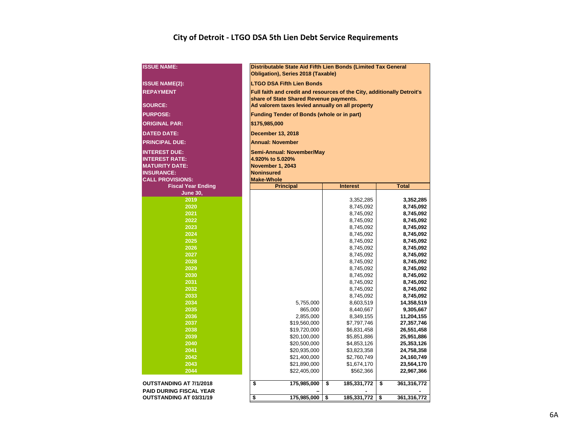#### **City of Detroit - LTGO DSA 5th Lien Debt Service Requirements**

| <b>LTGO DSA Fifth Lien Bonds</b><br>Full faith and credit and resources of the City, additionally Detroit's<br>share of State Shared Revenue payments.<br>Ad valorem taxes levied annually on all property<br><b>Funding Tender of Bonds (whole or in part)</b><br>\$175,985,000<br><b>December 13, 2018</b><br><b>Annual: November</b><br>Semi-Annual: November/May<br><b>INTEREST DUE:</b><br><b>INTEREST RATE:</b><br>4.920% to 5.020%<br><b>November 1, 2043</b><br><b>MATURITY DATE:</b><br><b>INSURANCE:</b><br><b>Noninsured</b><br><b>Make-Whole</b><br><b>CALL PROVISIONS:</b><br><b>Total</b><br><b>Fiscal Year Ending</b><br><b>Principal</b><br><b>Interest</b><br><b>June 30,</b><br>2019<br>3,352,285<br>3,352,285<br>2020<br>8,745,092<br>8,745,092<br>2021<br>8,745,092<br>8,745,092<br>2022<br>8,745,092<br>8,745,092<br>2023<br>8,745,092<br>8,745,092<br>2024<br>8,745,092<br>8,745,092<br>2025<br>8,745,092<br>8,745,092<br>2026<br>8,745,092<br>8,745,092<br>2027<br>8,745,092<br>8,745,092<br>2028<br>8,745,092<br>8,745,092<br>2029<br>8,745,092<br>8,745,092<br>2030<br>8,745,092<br>8,745,092<br>2031<br>8,745,092<br>8,745,092<br>2032<br>8,745,092<br>8,745,092<br>2033<br>8,745,092<br>8,745,092<br>2034<br>5,755,000<br>14,358,519<br>8,603,519<br>2035<br>865,000<br>8,440,667<br>9,305,667<br>2036<br>2,855,000<br>8,349,155<br>11,204,155<br>2037<br>\$19,560,000<br>\$7,797,746<br>27,357,746<br>2038<br>\$19,720,000<br>\$6,831,458<br>26,551,458<br>2039<br>\$20,100,000<br>\$5,851,886<br>25,951,886<br>2040<br>\$20,500,000<br>\$4,853,126<br>25,353,126<br>2041<br>\$20,935,000<br>\$3,823,358<br>24,758,358<br>2042<br>\$21,400,000<br>\$2,760,749<br>24,160,749<br>2043<br>\$21,890,000<br>\$1,674,170<br>23,564,170<br>2044<br>\$22,405,000<br>\$562,366<br>22,967,366<br><b>OUTSTANDING AT 7/1/2018</b><br>\$<br>\$<br>\$<br>175,985,000<br>185,331,772<br>361,316,772<br><b>PAID DURING FISCAL YEAR</b><br>\$<br>175,985,000<br>\$<br>185,331,772<br>\$<br>361,316,772 | <b>ISSUE NAME:</b>      | Distributable State Aid Fifth Lien Bonds (Limited Tax General<br>Obligation), Series 2018 (Taxable) |  |  |  |  |  |  |  |  |  |  |  |  |  |
|-------------------------------------------------------------------------------------------------------------------------------------------------------------------------------------------------------------------------------------------------------------------------------------------------------------------------------------------------------------------------------------------------------------------------------------------------------------------------------------------------------------------------------------------------------------------------------------------------------------------------------------------------------------------------------------------------------------------------------------------------------------------------------------------------------------------------------------------------------------------------------------------------------------------------------------------------------------------------------------------------------------------------------------------------------------------------------------------------------------------------------------------------------------------------------------------------------------------------------------------------------------------------------------------------------------------------------------------------------------------------------------------------------------------------------------------------------------------------------------------------------------------------------------------------------------------------------------------------------------------------------------------------------------------------------------------------------------------------------------------------------------------------------------------------------------------------------------------------------------------------------------------------------------------------------------------------------------------------------------------------------------------|-------------------------|-----------------------------------------------------------------------------------------------------|--|--|--|--|--|--|--|--|--|--|--|--|--|
|                                                                                                                                                                                                                                                                                                                                                                                                                                                                                                                                                                                                                                                                                                                                                                                                                                                                                                                                                                                                                                                                                                                                                                                                                                                                                                                                                                                                                                                                                                                                                                                                                                                                                                                                                                                                                                                                                                                                                                                                                   | <b>ISSUE NAME(2):</b>   |                                                                                                     |  |  |  |  |  |  |  |  |  |  |  |  |  |
|                                                                                                                                                                                                                                                                                                                                                                                                                                                                                                                                                                                                                                                                                                                                                                                                                                                                                                                                                                                                                                                                                                                                                                                                                                                                                                                                                                                                                                                                                                                                                                                                                                                                                                                                                                                                                                                                                                                                                                                                                   | <b>REPAYMENT</b>        |                                                                                                     |  |  |  |  |  |  |  |  |  |  |  |  |  |
|                                                                                                                                                                                                                                                                                                                                                                                                                                                                                                                                                                                                                                                                                                                                                                                                                                                                                                                                                                                                                                                                                                                                                                                                                                                                                                                                                                                                                                                                                                                                                                                                                                                                                                                                                                                                                                                                                                                                                                                                                   |                         |                                                                                                     |  |  |  |  |  |  |  |  |  |  |  |  |  |
|                                                                                                                                                                                                                                                                                                                                                                                                                                                                                                                                                                                                                                                                                                                                                                                                                                                                                                                                                                                                                                                                                                                                                                                                                                                                                                                                                                                                                                                                                                                                                                                                                                                                                                                                                                                                                                                                                                                                                                                                                   | <b>SOURCE:</b>          |                                                                                                     |  |  |  |  |  |  |  |  |  |  |  |  |  |
|                                                                                                                                                                                                                                                                                                                                                                                                                                                                                                                                                                                                                                                                                                                                                                                                                                                                                                                                                                                                                                                                                                                                                                                                                                                                                                                                                                                                                                                                                                                                                                                                                                                                                                                                                                                                                                                                                                                                                                                                                   | <b>PURPOSE:</b>         |                                                                                                     |  |  |  |  |  |  |  |  |  |  |  |  |  |
|                                                                                                                                                                                                                                                                                                                                                                                                                                                                                                                                                                                                                                                                                                                                                                                                                                                                                                                                                                                                                                                                                                                                                                                                                                                                                                                                                                                                                                                                                                                                                                                                                                                                                                                                                                                                                                                                                                                                                                                                                   | <b>ORIGINAL PAR:</b>    |                                                                                                     |  |  |  |  |  |  |  |  |  |  |  |  |  |
|                                                                                                                                                                                                                                                                                                                                                                                                                                                                                                                                                                                                                                                                                                                                                                                                                                                                                                                                                                                                                                                                                                                                                                                                                                                                                                                                                                                                                                                                                                                                                                                                                                                                                                                                                                                                                                                                                                                                                                                                                   | <b>DATED DATE:</b>      |                                                                                                     |  |  |  |  |  |  |  |  |  |  |  |  |  |
|                                                                                                                                                                                                                                                                                                                                                                                                                                                                                                                                                                                                                                                                                                                                                                                                                                                                                                                                                                                                                                                                                                                                                                                                                                                                                                                                                                                                                                                                                                                                                                                                                                                                                                                                                                                                                                                                                                                                                                                                                   | <b>PRINCIPAL DUE:</b>   |                                                                                                     |  |  |  |  |  |  |  |  |  |  |  |  |  |
|                                                                                                                                                                                                                                                                                                                                                                                                                                                                                                                                                                                                                                                                                                                                                                                                                                                                                                                                                                                                                                                                                                                                                                                                                                                                                                                                                                                                                                                                                                                                                                                                                                                                                                                                                                                                                                                                                                                                                                                                                   |                         |                                                                                                     |  |  |  |  |  |  |  |  |  |  |  |  |  |
|                                                                                                                                                                                                                                                                                                                                                                                                                                                                                                                                                                                                                                                                                                                                                                                                                                                                                                                                                                                                                                                                                                                                                                                                                                                                                                                                                                                                                                                                                                                                                                                                                                                                                                                                                                                                                                                                                                                                                                                                                   |                         |                                                                                                     |  |  |  |  |  |  |  |  |  |  |  |  |  |
|                                                                                                                                                                                                                                                                                                                                                                                                                                                                                                                                                                                                                                                                                                                                                                                                                                                                                                                                                                                                                                                                                                                                                                                                                                                                                                                                                                                                                                                                                                                                                                                                                                                                                                                                                                                                                                                                                                                                                                                                                   |                         |                                                                                                     |  |  |  |  |  |  |  |  |  |  |  |  |  |
|                                                                                                                                                                                                                                                                                                                                                                                                                                                                                                                                                                                                                                                                                                                                                                                                                                                                                                                                                                                                                                                                                                                                                                                                                                                                                                                                                                                                                                                                                                                                                                                                                                                                                                                                                                                                                                                                                                                                                                                                                   |                         |                                                                                                     |  |  |  |  |  |  |  |  |  |  |  |  |  |
|                                                                                                                                                                                                                                                                                                                                                                                                                                                                                                                                                                                                                                                                                                                                                                                                                                                                                                                                                                                                                                                                                                                                                                                                                                                                                                                                                                                                                                                                                                                                                                                                                                                                                                                                                                                                                                                                                                                                                                                                                   |                         |                                                                                                     |  |  |  |  |  |  |  |  |  |  |  |  |  |
|                                                                                                                                                                                                                                                                                                                                                                                                                                                                                                                                                                                                                                                                                                                                                                                                                                                                                                                                                                                                                                                                                                                                                                                                                                                                                                                                                                                                                                                                                                                                                                                                                                                                                                                                                                                                                                                                                                                                                                                                                   |                         |                                                                                                     |  |  |  |  |  |  |  |  |  |  |  |  |  |
|                                                                                                                                                                                                                                                                                                                                                                                                                                                                                                                                                                                                                                                                                                                                                                                                                                                                                                                                                                                                                                                                                                                                                                                                                                                                                                                                                                                                                                                                                                                                                                                                                                                                                                                                                                                                                                                                                                                                                                                                                   |                         |                                                                                                     |  |  |  |  |  |  |  |  |  |  |  |  |  |
|                                                                                                                                                                                                                                                                                                                                                                                                                                                                                                                                                                                                                                                                                                                                                                                                                                                                                                                                                                                                                                                                                                                                                                                                                                                                                                                                                                                                                                                                                                                                                                                                                                                                                                                                                                                                                                                                                                                                                                                                                   |                         |                                                                                                     |  |  |  |  |  |  |  |  |  |  |  |  |  |
|                                                                                                                                                                                                                                                                                                                                                                                                                                                                                                                                                                                                                                                                                                                                                                                                                                                                                                                                                                                                                                                                                                                                                                                                                                                                                                                                                                                                                                                                                                                                                                                                                                                                                                                                                                                                                                                                                                                                                                                                                   |                         |                                                                                                     |  |  |  |  |  |  |  |  |  |  |  |  |  |
|                                                                                                                                                                                                                                                                                                                                                                                                                                                                                                                                                                                                                                                                                                                                                                                                                                                                                                                                                                                                                                                                                                                                                                                                                                                                                                                                                                                                                                                                                                                                                                                                                                                                                                                                                                                                                                                                                                                                                                                                                   |                         |                                                                                                     |  |  |  |  |  |  |  |  |  |  |  |  |  |
|                                                                                                                                                                                                                                                                                                                                                                                                                                                                                                                                                                                                                                                                                                                                                                                                                                                                                                                                                                                                                                                                                                                                                                                                                                                                                                                                                                                                                                                                                                                                                                                                                                                                                                                                                                                                                                                                                                                                                                                                                   |                         |                                                                                                     |  |  |  |  |  |  |  |  |  |  |  |  |  |
|                                                                                                                                                                                                                                                                                                                                                                                                                                                                                                                                                                                                                                                                                                                                                                                                                                                                                                                                                                                                                                                                                                                                                                                                                                                                                                                                                                                                                                                                                                                                                                                                                                                                                                                                                                                                                                                                                                                                                                                                                   |                         |                                                                                                     |  |  |  |  |  |  |  |  |  |  |  |  |  |
|                                                                                                                                                                                                                                                                                                                                                                                                                                                                                                                                                                                                                                                                                                                                                                                                                                                                                                                                                                                                                                                                                                                                                                                                                                                                                                                                                                                                                                                                                                                                                                                                                                                                                                                                                                                                                                                                                                                                                                                                                   |                         |                                                                                                     |  |  |  |  |  |  |  |  |  |  |  |  |  |
|                                                                                                                                                                                                                                                                                                                                                                                                                                                                                                                                                                                                                                                                                                                                                                                                                                                                                                                                                                                                                                                                                                                                                                                                                                                                                                                                                                                                                                                                                                                                                                                                                                                                                                                                                                                                                                                                                                                                                                                                                   |                         |                                                                                                     |  |  |  |  |  |  |  |  |  |  |  |  |  |
|                                                                                                                                                                                                                                                                                                                                                                                                                                                                                                                                                                                                                                                                                                                                                                                                                                                                                                                                                                                                                                                                                                                                                                                                                                                                                                                                                                                                                                                                                                                                                                                                                                                                                                                                                                                                                                                                                                                                                                                                                   |                         |                                                                                                     |  |  |  |  |  |  |  |  |  |  |  |  |  |
|                                                                                                                                                                                                                                                                                                                                                                                                                                                                                                                                                                                                                                                                                                                                                                                                                                                                                                                                                                                                                                                                                                                                                                                                                                                                                                                                                                                                                                                                                                                                                                                                                                                                                                                                                                                                                                                                                                                                                                                                                   |                         |                                                                                                     |  |  |  |  |  |  |  |  |  |  |  |  |  |
|                                                                                                                                                                                                                                                                                                                                                                                                                                                                                                                                                                                                                                                                                                                                                                                                                                                                                                                                                                                                                                                                                                                                                                                                                                                                                                                                                                                                                                                                                                                                                                                                                                                                                                                                                                                                                                                                                                                                                                                                                   |                         |                                                                                                     |  |  |  |  |  |  |  |  |  |  |  |  |  |
|                                                                                                                                                                                                                                                                                                                                                                                                                                                                                                                                                                                                                                                                                                                                                                                                                                                                                                                                                                                                                                                                                                                                                                                                                                                                                                                                                                                                                                                                                                                                                                                                                                                                                                                                                                                                                                                                                                                                                                                                                   |                         |                                                                                                     |  |  |  |  |  |  |  |  |  |  |  |  |  |
|                                                                                                                                                                                                                                                                                                                                                                                                                                                                                                                                                                                                                                                                                                                                                                                                                                                                                                                                                                                                                                                                                                                                                                                                                                                                                                                                                                                                                                                                                                                                                                                                                                                                                                                                                                                                                                                                                                                                                                                                                   |                         |                                                                                                     |  |  |  |  |  |  |  |  |  |  |  |  |  |
|                                                                                                                                                                                                                                                                                                                                                                                                                                                                                                                                                                                                                                                                                                                                                                                                                                                                                                                                                                                                                                                                                                                                                                                                                                                                                                                                                                                                                                                                                                                                                                                                                                                                                                                                                                                                                                                                                                                                                                                                                   |                         |                                                                                                     |  |  |  |  |  |  |  |  |  |  |  |  |  |
|                                                                                                                                                                                                                                                                                                                                                                                                                                                                                                                                                                                                                                                                                                                                                                                                                                                                                                                                                                                                                                                                                                                                                                                                                                                                                                                                                                                                                                                                                                                                                                                                                                                                                                                                                                                                                                                                                                                                                                                                                   |                         |                                                                                                     |  |  |  |  |  |  |  |  |  |  |  |  |  |
|                                                                                                                                                                                                                                                                                                                                                                                                                                                                                                                                                                                                                                                                                                                                                                                                                                                                                                                                                                                                                                                                                                                                                                                                                                                                                                                                                                                                                                                                                                                                                                                                                                                                                                                                                                                                                                                                                                                                                                                                                   |                         |                                                                                                     |  |  |  |  |  |  |  |  |  |  |  |  |  |
|                                                                                                                                                                                                                                                                                                                                                                                                                                                                                                                                                                                                                                                                                                                                                                                                                                                                                                                                                                                                                                                                                                                                                                                                                                                                                                                                                                                                                                                                                                                                                                                                                                                                                                                                                                                                                                                                                                                                                                                                                   |                         |                                                                                                     |  |  |  |  |  |  |  |  |  |  |  |  |  |
|                                                                                                                                                                                                                                                                                                                                                                                                                                                                                                                                                                                                                                                                                                                                                                                                                                                                                                                                                                                                                                                                                                                                                                                                                                                                                                                                                                                                                                                                                                                                                                                                                                                                                                                                                                                                                                                                                                                                                                                                                   |                         |                                                                                                     |  |  |  |  |  |  |  |  |  |  |  |  |  |
|                                                                                                                                                                                                                                                                                                                                                                                                                                                                                                                                                                                                                                                                                                                                                                                                                                                                                                                                                                                                                                                                                                                                                                                                                                                                                                                                                                                                                                                                                                                                                                                                                                                                                                                                                                                                                                                                                                                                                                                                                   |                         |                                                                                                     |  |  |  |  |  |  |  |  |  |  |  |  |  |
|                                                                                                                                                                                                                                                                                                                                                                                                                                                                                                                                                                                                                                                                                                                                                                                                                                                                                                                                                                                                                                                                                                                                                                                                                                                                                                                                                                                                                                                                                                                                                                                                                                                                                                                                                                                                                                                                                                                                                                                                                   |                         |                                                                                                     |  |  |  |  |  |  |  |  |  |  |  |  |  |
|                                                                                                                                                                                                                                                                                                                                                                                                                                                                                                                                                                                                                                                                                                                                                                                                                                                                                                                                                                                                                                                                                                                                                                                                                                                                                                                                                                                                                                                                                                                                                                                                                                                                                                                                                                                                                                                                                                                                                                                                                   |                         |                                                                                                     |  |  |  |  |  |  |  |  |  |  |  |  |  |
|                                                                                                                                                                                                                                                                                                                                                                                                                                                                                                                                                                                                                                                                                                                                                                                                                                                                                                                                                                                                                                                                                                                                                                                                                                                                                                                                                                                                                                                                                                                                                                                                                                                                                                                                                                                                                                                                                                                                                                                                                   |                         |                                                                                                     |  |  |  |  |  |  |  |  |  |  |  |  |  |
|                                                                                                                                                                                                                                                                                                                                                                                                                                                                                                                                                                                                                                                                                                                                                                                                                                                                                                                                                                                                                                                                                                                                                                                                                                                                                                                                                                                                                                                                                                                                                                                                                                                                                                                                                                                                                                                                                                                                                                                                                   |                         |                                                                                                     |  |  |  |  |  |  |  |  |  |  |  |  |  |
|                                                                                                                                                                                                                                                                                                                                                                                                                                                                                                                                                                                                                                                                                                                                                                                                                                                                                                                                                                                                                                                                                                                                                                                                                                                                                                                                                                                                                                                                                                                                                                                                                                                                                                                                                                                                                                                                                                                                                                                                                   |                         |                                                                                                     |  |  |  |  |  |  |  |  |  |  |  |  |  |
|                                                                                                                                                                                                                                                                                                                                                                                                                                                                                                                                                                                                                                                                                                                                                                                                                                                                                                                                                                                                                                                                                                                                                                                                                                                                                                                                                                                                                                                                                                                                                                                                                                                                                                                                                                                                                                                                                                                                                                                                                   |                         |                                                                                                     |  |  |  |  |  |  |  |  |  |  |  |  |  |
|                                                                                                                                                                                                                                                                                                                                                                                                                                                                                                                                                                                                                                                                                                                                                                                                                                                                                                                                                                                                                                                                                                                                                                                                                                                                                                                                                                                                                                                                                                                                                                                                                                                                                                                                                                                                                                                                                                                                                                                                                   |                         |                                                                                                     |  |  |  |  |  |  |  |  |  |  |  |  |  |
|                                                                                                                                                                                                                                                                                                                                                                                                                                                                                                                                                                                                                                                                                                                                                                                                                                                                                                                                                                                                                                                                                                                                                                                                                                                                                                                                                                                                                                                                                                                                                                                                                                                                                                                                                                                                                                                                                                                                                                                                                   |                         |                                                                                                     |  |  |  |  |  |  |  |  |  |  |  |  |  |
|                                                                                                                                                                                                                                                                                                                                                                                                                                                                                                                                                                                                                                                                                                                                                                                                                                                                                                                                                                                                                                                                                                                                                                                                                                                                                                                                                                                                                                                                                                                                                                                                                                                                                                                                                                                                                                                                                                                                                                                                                   |                         |                                                                                                     |  |  |  |  |  |  |  |  |  |  |  |  |  |
|                                                                                                                                                                                                                                                                                                                                                                                                                                                                                                                                                                                                                                                                                                                                                                                                                                                                                                                                                                                                                                                                                                                                                                                                                                                                                                                                                                                                                                                                                                                                                                                                                                                                                                                                                                                                                                                                                                                                                                                                                   | OUTSTANDING AT 03/31/19 |                                                                                                     |  |  |  |  |  |  |  |  |  |  |  |  |  |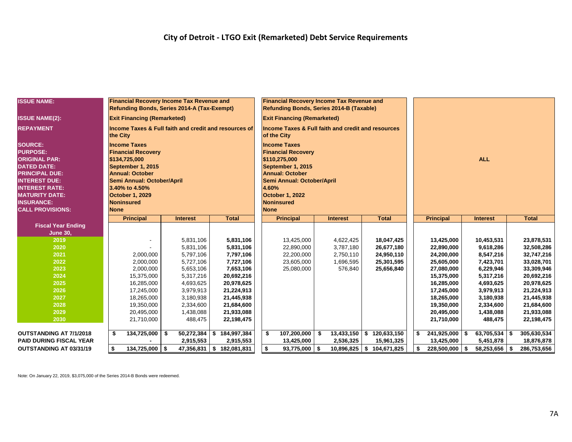| <b>ISSUE NAME:</b>                                                                                                                                                                                                                 |                                                                                                                                                                                                                  | <b>Financial Recovery Income Tax Revenue and</b><br>Refunding Bonds, Series 2014-A (Tax-Exempt) |  |                 |                                                       |     | <b>Financial Recovery Income Tax Revenue and</b><br>Refunding Bonds, Series 2014-B (Taxable)                                                                                                                          |                       |      |              |            |                  |  |                 |      |              |
|------------------------------------------------------------------------------------------------------------------------------------------------------------------------------------------------------------------------------------|------------------------------------------------------------------------------------------------------------------------------------------------------------------------------------------------------------------|-------------------------------------------------------------------------------------------------|--|-----------------|-------------------------------------------------------|-----|-----------------------------------------------------------------------------------------------------------------------------------------------------------------------------------------------------------------------|-----------------------|------|--------------|------------|------------------|--|-----------------|------|--------------|
| <b>ISSUE NAME(2):</b>                                                                                                                                                                                                              |                                                                                                                                                                                                                  | <b>Exit Financing (Remarketed)</b>                                                              |  |                 |                                                       |     | <b>Exit Financing (Remarketed)</b>                                                                                                                                                                                    |                       |      |              |            |                  |  |                 |      |              |
| <b>REPAYMENT</b>                                                                                                                                                                                                                   | the City                                                                                                                                                                                                         |                                                                                                 |  |                 | Income Taxes & Full faith and credit and resources of |     | Income Taxes & Full faith and credit and resources<br>of the City                                                                                                                                                     |                       |      |              |            |                  |  |                 |      |              |
| <b>SOURCE:</b><br><b>PURPOSE:</b><br><b>ORIGINAL PAR:</b><br><b>DATED DATE:</b><br><b>PRINCIPAL DUE:</b><br><b>INTEREST DUE:</b><br><b>INTEREST RATE:</b><br><b>MATURITY DATE:</b><br><b>INSURANCE:</b><br><b>CALL PROVISIONS:</b> | <b>Income Taxes</b><br><b>Financial Recovery</b><br>\$134,725,000<br>September 1, 2015<br><b>Annual: October</b><br>Semi Annual: October/April<br>3.40% to 4.50%<br>October 1, 2029<br>Noninsured<br><b>None</b> |                                                                                                 |  |                 |                                                       |     | <b>Income Taxes</b><br><b>Financial Recovery</b><br>\$110,275,000<br>September 1, 2015<br><b>Annual: October</b><br>Semi Annual: October/April<br>4.60%<br><b>October 1, 2022</b><br><b>Noninsured</b><br><b>None</b> |                       |      |              | <b>ALL</b> |                  |  |                 |      |              |
|                                                                                                                                                                                                                                    |                                                                                                                                                                                                                  | <b>Principal</b>                                                                                |  | <b>Interest</b> | <b>Total</b>                                          |     | <b>Principal</b>                                                                                                                                                                                                      | <b>Interest</b>       |      | <b>Total</b> |            | <b>Principal</b> |  | <b>Interest</b> |      | <b>Total</b> |
| <b>Fiscal Year Ending</b>                                                                                                                                                                                                          |                                                                                                                                                                                                                  |                                                                                                 |  |                 |                                                       |     |                                                                                                                                                                                                                       |                       |      |              |            |                  |  |                 |      |              |
| <b>June 30,</b>                                                                                                                                                                                                                    |                                                                                                                                                                                                                  |                                                                                                 |  |                 |                                                       |     |                                                                                                                                                                                                                       |                       |      |              |            |                  |  |                 |      |              |
| 2019                                                                                                                                                                                                                               |                                                                                                                                                                                                                  |                                                                                                 |  | 5,831,106       | 5,831,106                                             |     | 13,425,000                                                                                                                                                                                                            | 4,622,425             |      | 18,047,425   |            | 13,425,000       |  | 10,453,531      |      | 23,878,531   |
| 2020                                                                                                                                                                                                                               |                                                                                                                                                                                                                  |                                                                                                 |  | 5,831,106       | 5,831,106                                             |     | 22,890,000                                                                                                                                                                                                            | 3,787,180             |      | 26,677,180   |            | 22,890,000       |  | 9,618,286       |      | 32,508,286   |
| 2021                                                                                                                                                                                                                               |                                                                                                                                                                                                                  | 2,000,000                                                                                       |  | 5,797,106       | 7,797,106                                             |     | 22,200,000                                                                                                                                                                                                            | 2,750,110             |      | 24,950,110   |            | 24,200,000       |  | 8,547,216       |      | 32,747,216   |
| 2022                                                                                                                                                                                                                               |                                                                                                                                                                                                                  | 2,000,000                                                                                       |  | 5,727,106       | 7,727,106                                             |     | 23,605,000                                                                                                                                                                                                            | 1,696,595             |      | 25,301,595   |            | 25,605,000       |  | 7,423,701       |      | 33,028,701   |
| 2023                                                                                                                                                                                                                               |                                                                                                                                                                                                                  | 2,000,000                                                                                       |  | 5,653,106       | 7,653,106                                             |     | 25,080,000                                                                                                                                                                                                            | 576,840               |      | 25,656,840   |            | 27,080,000       |  | 6,229,946       |      | 33,309,946   |
| 2024                                                                                                                                                                                                                               |                                                                                                                                                                                                                  | 15,375,000                                                                                      |  | 5,317,216       | 20,692,216                                            |     |                                                                                                                                                                                                                       |                       |      |              |            | 15,375,000       |  | 5,317,216       |      | 20,692,216   |
| 2025                                                                                                                                                                                                                               |                                                                                                                                                                                                                  | 16,285,000                                                                                      |  | 4,693,625       | 20,978,625                                            |     |                                                                                                                                                                                                                       |                       |      |              |            | 16,285,000       |  | 4,693,625       |      | 20,978,625   |
| 2026                                                                                                                                                                                                                               |                                                                                                                                                                                                                  | 17,245,000                                                                                      |  | 3,979,913       | 21,224,913                                            |     |                                                                                                                                                                                                                       |                       |      |              |            | 17,245,000       |  | 3,979,913       |      | 21,224,913   |
| 2027                                                                                                                                                                                                                               |                                                                                                                                                                                                                  | 18,265,000                                                                                      |  | 3,180,938       | 21,445,938                                            |     |                                                                                                                                                                                                                       |                       |      |              |            | 18,265,000       |  | 3,180,938       |      | 21,445,938   |
| 2028                                                                                                                                                                                                                               |                                                                                                                                                                                                                  | 19,350,000                                                                                      |  | 2,334,600       | 21,684,600                                            |     |                                                                                                                                                                                                                       |                       |      |              |            | 19,350,000       |  | 2,334,600       |      | 21,684,600   |
| 2029                                                                                                                                                                                                                               |                                                                                                                                                                                                                  | 20,495,000                                                                                      |  | 1,438,088       | 21,933,088                                            |     |                                                                                                                                                                                                                       |                       |      |              |            | 20,495,000       |  | 1,438,088       |      | 21,933,088   |
| 2030                                                                                                                                                                                                                               |                                                                                                                                                                                                                  | 21,710,000                                                                                      |  | 488,475         | 22,198,475                                            |     |                                                                                                                                                                                                                       |                       |      |              |            | 21,710,000       |  | 488,475         |      | 22,198,475   |
|                                                                                                                                                                                                                                    |                                                                                                                                                                                                                  |                                                                                                 |  |                 |                                                       |     |                                                                                                                                                                                                                       |                       |      |              |            |                  |  |                 |      |              |
| <b>OUTSTANDING AT 7/1/2018</b>                                                                                                                                                                                                     | \$                                                                                                                                                                                                               | $134,725,000$ \$                                                                                |  | 50,272,384      | 184,997,384<br><b>S</b>                               | -\$ | 107,200,000                                                                                                                                                                                                           | \$<br>$13,433,150$ \$ |      | 120,633,150  | \$         | $241,925,000$ \$ |  | $63,705,534$ \$ |      | 305,630,534  |
| <b>PAID DURING FISCAL YEAR</b>                                                                                                                                                                                                     |                                                                                                                                                                                                                  |                                                                                                 |  | 2,915,553       | 2,915,553                                             |     | 13,425,000                                                                                                                                                                                                            | 2,536,325             |      | 15,961,325   |            | 13,425,000       |  | 5,451,878       |      | 18,876,878   |
| <b>OUTSTANDING AT 03/31/19</b>                                                                                                                                                                                                     | \$                                                                                                                                                                                                               | 134,725,000 \$                                                                                  |  | 47,356,831      | l Si<br>182,081,831                                   | \$  | 93,775,000                                                                                                                                                                                                            | 10,896,825            | - \$ | 104,671,825  | \$         | $228,500,000$ \$ |  | 58,253,656      | - \$ | 286,753,656  |

Note: On January 22, 2019, \$3,075,000 of the Series 2014-B Bonds were redeemed.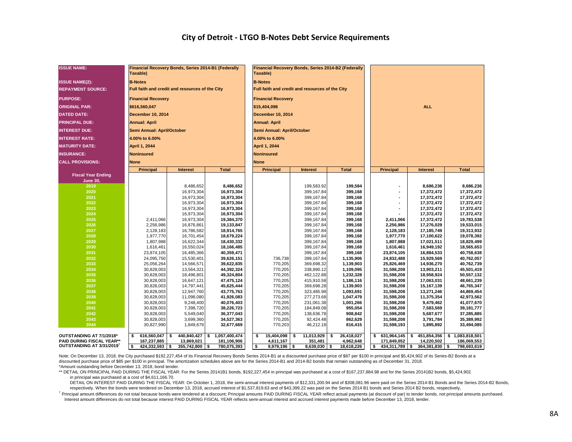#### **City of Detroit - LTGO B-Notes Debt Service Requirements**

| <b>ISSUE NAME:</b>                    | Financial Recovery Bonds, Series 2014-B1 (Federally<br>Taxable) |                          |                         | Financial Recovery Bonds, Series 2014-B2 (Federally<br>Taxable) |                                                 |    |                          |  |                    |      |                  |                          |                          |  |  |  |
|---------------------------------------|-----------------------------------------------------------------|--------------------------|-------------------------|-----------------------------------------------------------------|-------------------------------------------------|----|--------------------------|--|--------------------|------|------------------|--------------------------|--------------------------|--|--|--|
| <b>ISSUE NAME(2):</b>                 | <b>B-Notes</b>                                                  |                          |                         |                                                                 | <b>B-Notes</b>                                  |    |                          |  |                    |      |                  |                          |                          |  |  |  |
| <b>REPAYMENT SOURCE:</b>              | Full faith and credit and resources of the City                 |                          |                         |                                                                 | Full faith and credit and resources of the City |    |                          |  |                    |      |                  |                          |                          |  |  |  |
| <b>PURPOSE:</b>                       | <b>Financial Recovery</b>                                       |                          |                         |                                                                 | <b>Financial Recovery</b>                       |    |                          |  |                    |      |                  |                          |                          |  |  |  |
| <b>ORIGINAL PAR:</b>                  | \$616,560,047                                                   |                          |                         |                                                                 | \$15,404,098                                    |    |                          |  |                    |      |                  | ALL.                     |                          |  |  |  |
| <b>DATED DATE:</b>                    | <b>December 10, 2014</b>                                        |                          |                         |                                                                 | <b>December 10, 2014</b>                        |    |                          |  |                    |      |                  |                          |                          |  |  |  |
| <b>PRINCIPAL DUE:</b>                 | <b>Annual: April</b>                                            |                          |                         |                                                                 | <b>Annual: April</b>                            |    |                          |  |                    |      |                  |                          |                          |  |  |  |
| <b>INTEREST DUE:</b>                  | Semi Annual: April/October                                      |                          |                         |                                                                 | Semi Annual: April/October                      |    |                          |  |                    |      |                  |                          |                          |  |  |  |
| <b>INTEREST RATE:</b>                 | 4.00% to 6.00%                                                  |                          |                         |                                                                 | 4.00% to 6.00%                                  |    |                          |  |                    |      |                  |                          |                          |  |  |  |
| <b>MATURITY DATE:</b>                 | April 1, 2044                                                   |                          | April 1, 2044           |                                                                 |                                                 |    |                          |  |                    |      |                  |                          |                          |  |  |  |
| <b>INSURANCE:</b>                     | <b>Noninsured</b>                                               |                          | <b>Noninsured</b>       |                                                                 |                                                 |    |                          |  |                    |      |                  |                          |                          |  |  |  |
| <b>CALL PROVISIONS:</b>               | <b>None</b>                                                     |                          |                         |                                                                 | <b>None</b>                                     |    |                          |  |                    |      |                  |                          |                          |  |  |  |
|                                       | <b>Principal</b>                                                | <b>Interest</b>          | <b>Total</b>            |                                                                 | <b>Principal</b>                                |    | <b>Interest</b>          |  | <b>Total</b>       |      | <b>Principal</b> | <b>Interest</b>          | <b>Total</b>             |  |  |  |
| <b>Fiscal Year Ending</b>             |                                                                 |                          |                         |                                                                 |                                                 |    |                          |  |                    |      |                  |                          |                          |  |  |  |
| <b>June 30,</b>                       |                                                                 |                          |                         |                                                                 |                                                 |    |                          |  |                    |      |                  |                          |                          |  |  |  |
| 2019<br>2020                          |                                                                 | 8,486,652                | 8,486,652<br>16,973,304 |                                                                 |                                                 |    | 199,583.92               |  | 199,584<br>399,168 |      |                  | 8,686,236                | 8,686,236                |  |  |  |
| 2021                                  |                                                                 | 16,973,304<br>16,973,304 | 16,973,304              |                                                                 |                                                 |    | 399,167.84<br>399,167.84 |  | 399,168            |      |                  | 17,372,472<br>17,372,472 | 17,372,472<br>17,372,472 |  |  |  |
| 2022                                  |                                                                 |                          | 16,973,304              |                                                                 |                                                 |    |                          |  | 399,168            |      |                  | 17,372,472               | 17,372,472               |  |  |  |
| 2023                                  |                                                                 | 16,973,304<br>16,973,304 | 16,973,304              |                                                                 |                                                 |    | 399,167.84<br>399,167.84 |  | 399,168            |      | $\overline{a}$   | 17,372,472               | 17,372,472               |  |  |  |
| 2024                                  |                                                                 | 16,973,304               | 16,973,304              |                                                                 |                                                 |    | 399,167.84               |  | 399,168            |      |                  | 17,372,472               | 17,372,472               |  |  |  |
| 2025                                  | 2,411,066                                                       | 16,973,304               | 19,384,370              |                                                                 |                                                 |    | 399,167.84               |  | 399,168            |      | 2,411,066        | 17,372,472               | 19,783,538               |  |  |  |
| 2026                                  | 2,256,986                                                       | 16,876,861               | 19,133,847              |                                                                 |                                                 |    | 399,167.84               |  | 399,168            |      | 2,256,986        | 17,276,029               | 19,533,015               |  |  |  |
| 2027                                  | 2,128,183                                                       | 16,786,582               | 18,914,765              |                                                                 |                                                 |    | 399,167.84               |  | 399,168            |      | 2,128,183        | 17,185,749               | 19,313,932               |  |  |  |
| 2028                                  | 1,977,770                                                       | 16,701,454               | 18,679,224              |                                                                 |                                                 |    | 399,167.84               |  | 399,168            |      | 1,977,770        | 17,100,622               | 19,078,392               |  |  |  |
| 2029                                  | 1,807,988                                                       | 16,622,344               | 18,430,332              |                                                                 |                                                 |    | 399,167.84               |  | 399,168            |      | 1,807,988        | 17,021,511               | 18,829,499               |  |  |  |
| 2030                                  | 1,616,461                                                       | 16,550,024               | 18,166,485              |                                                                 |                                                 |    | 399,167.84               |  | 399,168            |      | 1,616,461        | 16,949,192               | 18,565,653               |  |  |  |
| 2031                                  | 23,874,105                                                      | 16,485,366               | 40,359,471              |                                                                 |                                                 |    | 399,167.84               |  | 399,168            |      | 23,874,105       | 16,884,533               | 40,758,638               |  |  |  |
| 2032                                  | 24,095,750                                                      | 15,530,401               | 39,626,151              |                                                                 | 736,738                                         |    | 399,167.84               |  | 1,135,906          |      | 24,832,488       | 15,929,569               | 40,762,057               |  |  |  |
| 2033                                  | 25,056,264                                                      | 14,566,571               | 39,622,835              |                                                                 | 770,205                                         |    | 369,698.32               |  | 1,139,903          |      | 25,826,469       | 14,936,270               | 40,762,739               |  |  |  |
| 2034                                  | 30,828,003                                                      | 13,564,321               | 44,392,324              |                                                                 | 770,205                                         |    | 338,890.12               |  | 1,109,095          |      | 31,598,208       | 13,903,211               | 45,501,419               |  |  |  |
| 2035                                  | 30,828,003                                                      | 18,496,801               | 49,324,804              |                                                                 | 770,205                                         |    | 462,122.88               |  | 1,232,328          |      | 31,598,208       | 18,958,924               | 50,557,132               |  |  |  |
| 2036                                  | 30,828,003                                                      | 16,647,121               | 47,475,124              |                                                                 | 770,205                                         |    | 415,910.58               |  | 1,186,116          |      | 31,598,208       | 17,063,031               | 48,661,239               |  |  |  |
| 2037                                  | 30,828,003                                                      | 14,797,441               | 45,625,444              |                                                                 | 770,205                                         |    | 369,698.28               |  | 1,139,903          |      | 31,598,208       | 15,167,139               | 46,765,347               |  |  |  |
| 2038                                  | 30,828,003                                                      | 12,947,760               | 43,775,763              |                                                                 | 770,205                                         |    | 323,485.98               |  | 1,093,691          |      | 31,598,208       | 13,271,246               | 44,869,454               |  |  |  |
| 2039                                  | 30,828,003                                                      | 11,098,080               | 41,926,083              |                                                                 | 770,205                                         |    | 277,273.68               |  | 1,047,479          |      | 31,598,208       | 11,375,354               | 42,973,562               |  |  |  |
| 2040                                  | 30,828,003                                                      | 9,248,400                | 40,076,403              |                                                                 | 770,205                                         |    | 231,061.38               |  | 1,001,266          |      | 31,598,208       | 9,479,462                | 41,077,670               |  |  |  |
| 2041                                  | 30,828,003                                                      | 7,398,720                | 38,226,723              |                                                                 | 770,205                                         |    | 184,849.08               |  | 955,054            |      | 31,598,208       | 7,583,569                | 39,181,777               |  |  |  |
| 2042                                  | 30,828,003                                                      | 5,549,040                | 36,377,043              |                                                                 | 770,205                                         |    | 138,636.78               |  | 908,842            |      | 31,598,208       | 5,687,677                | 37,285,885               |  |  |  |
| 2043                                  | 30,828,003                                                      | 3,699,360                | 34,527,363              |                                                                 | 770,205                                         |    | 92,424.48                |  | 862,629            |      | 31,598,208       | 3,791,784                | 35,389,992               |  |  |  |
| 2044                                  | 30,827,990                                                      | 1,849,679                | 32,677,669              |                                                                 | 770,203                                         |    | 46,212.18                |  | 816,415            |      | 31,598,193       | 1,895,892<br>33,494,085  |                          |  |  |  |
| OUTSTANDING AT 7/1/2018*              | 616,560,047<br>\$                                               | 440,840,427 \$<br>s.     | 1,057,400,474           |                                                                 | 15,404,098                                      | Ŝ. | 11,013,929               |  | 26,418,027         | \$   | 631,964,145      | 451,854,356<br>\$        | \$1,083,818,501          |  |  |  |
| PAID DURING FISCAL YEAR**             | 167,237,885                                                     | 13,869,021               | 181,106,906             |                                                                 | 4,611,167                                       |    | 351,481                  |  | 4,962,648          |      | 171,849,052      | 14,220,502               | 186,069,553              |  |  |  |
| OUTSTANDING AT 3/31/2019 <sup>T</sup> | 424,332,593 \$<br>s.                                            | 355,742,800 \$           | 780,075,393             |                                                                 | Ŝ.<br>$9,979,196$ \$                            |    | $8,639,030$ \$           |  | 18,618,226         | l \$ | $434,311,789$ \$ | 364,381,830 \$           | 798,693,619              |  |  |  |

Note: On December 13, 2018, the City purchased \$192,227,454 of its Financial Recovery Bonds Series 2014-B1 at a discounted purchase price of \$87 per \$100 in principal and \$5,424,902 of its Series-B2 Bonds at a discounted purchase price of \$85 per \$100 in principal. The amortization schedules above are for the Series 2014-B1 and 2014-B2 bonds that remain outstanding as of December 31, 2018. \*Amount outstanding before December 13, 2018, bond tender.

\*\* DETAIL ON PRINCIPAL PAID DURING THE FISCAL YEAR: For the Series 20141B1 bonds, \$192,227,454 in principal was purchased at a cost of \$167,237,884.98 and for the Series 20141B2 bonds, \$5,424,902 in principal was purchased at a cost of \$4,611,166.70.

DETAIL ON INTEREST PAID DURING THE FISCAL YEAR: On October 1, 2018, the semi-annual interest payments of \$12,331,200.94 and of \$308,081.96 were paid on the Series 2014-B1 Bonds and the Series 2014-B2 Bonds, respectively. When the bonds were tendered on December 13, 2018, accrued interest of \$1,537,819.63 and of \$43,399.22 was paid on the Series 2014 B1 bonds and Series 2014 B2 bonds, respectively,

<sup>†</sup> Principal amount differences do not total because bonds were tendered at a discount; Principal amounts PAID DURING FISCAL YEAR reflect actual payments (at discount of par) to tender bonds, not principal amounts purchas Interest amount differences do not total because interest PAID DURING FISCAL YEAR reflects semi-annual interest and accrued interest payments made before December 13, 2018, tender.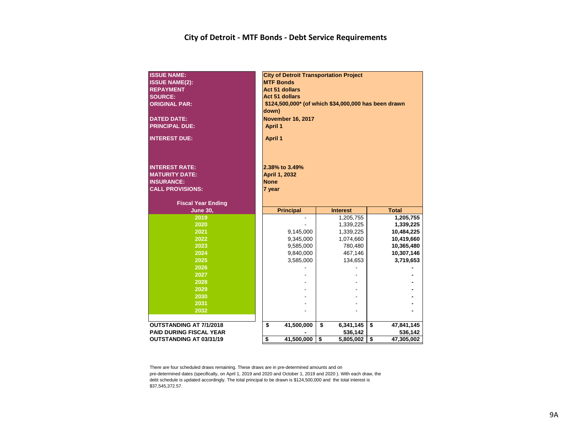#### **City of Detroit - MTF Bonds - Debt Service Requirements**

| <b>ISSUE NAME:</b><br><b>ISSUE NAME(2):</b><br><b>REPAYMENT</b><br><b>SOURCE:</b><br><b>ORIGINAL PAR:</b><br><b>DATED DATE:</b><br><b>PRINCIPAL DUE:</b><br><b>INTEREST DUE:</b> | <b>City of Detroit Transportation Project</b><br><b>MTF Bonds</b><br><b>Act 51 dollars</b><br><b>Act 51 dollars</b><br>\$124,500,000* (of which \$34,000,000 has been drawn<br>down)<br><b>November 16, 2017</b><br><b>April 1</b><br><b>April 1</b> |                            |                             |  |  |  |  |  |  |  |
|----------------------------------------------------------------------------------------------------------------------------------------------------------------------------------|------------------------------------------------------------------------------------------------------------------------------------------------------------------------------------------------------------------------------------------------------|----------------------------|-----------------------------|--|--|--|--|--|--|--|
| <b>INTEREST RATE:</b><br><b>MATURITY DATE:</b><br><b>INSURANCE:</b><br><b>CALL PROVISIONS:</b>                                                                                   | 2.38% to 3.49%<br>April 1, 2032<br><b>None</b><br>7 year                                                                                                                                                                                             |                            |                             |  |  |  |  |  |  |  |
| <b>Fiscal Year Ending</b><br><b>June 30,</b>                                                                                                                                     | <b>Principal</b>                                                                                                                                                                                                                                     | <b>Interest</b>            | <b>Total</b>                |  |  |  |  |  |  |  |
|                                                                                                                                                                                  |                                                                                                                                                                                                                                                      |                            |                             |  |  |  |  |  |  |  |
|                                                                                                                                                                                  |                                                                                                                                                                                                                                                      |                            |                             |  |  |  |  |  |  |  |
| 2019                                                                                                                                                                             |                                                                                                                                                                                                                                                      | 1,205,755                  | 1,205,755                   |  |  |  |  |  |  |  |
| 2020                                                                                                                                                                             |                                                                                                                                                                                                                                                      | 1,339,225                  | 1,339,225                   |  |  |  |  |  |  |  |
| 2021<br>2022                                                                                                                                                                     | 9,145,000                                                                                                                                                                                                                                            | 1,339,225                  | 10,484,225                  |  |  |  |  |  |  |  |
| 2023                                                                                                                                                                             | 9,345,000                                                                                                                                                                                                                                            | 1,074,660<br>780,480       | 10,419,660                  |  |  |  |  |  |  |  |
| 2024                                                                                                                                                                             | 9,585,000<br>9,840,000                                                                                                                                                                                                                               | 467,146                    | 10,365,480                  |  |  |  |  |  |  |  |
| 2025                                                                                                                                                                             | 3,585,000                                                                                                                                                                                                                                            | 134,653                    | 3,719,653                   |  |  |  |  |  |  |  |
| 2026                                                                                                                                                                             |                                                                                                                                                                                                                                                      |                            |                             |  |  |  |  |  |  |  |
| 2027                                                                                                                                                                             |                                                                                                                                                                                                                                                      |                            |                             |  |  |  |  |  |  |  |
| 2028                                                                                                                                                                             |                                                                                                                                                                                                                                                      |                            |                             |  |  |  |  |  |  |  |
| 2029                                                                                                                                                                             |                                                                                                                                                                                                                                                      |                            |                             |  |  |  |  |  |  |  |
| 2030                                                                                                                                                                             |                                                                                                                                                                                                                                                      |                            |                             |  |  |  |  |  |  |  |
| 2031                                                                                                                                                                             |                                                                                                                                                                                                                                                      |                            |                             |  |  |  |  |  |  |  |
| 2032                                                                                                                                                                             |                                                                                                                                                                                                                                                      |                            | 10,307,146                  |  |  |  |  |  |  |  |
|                                                                                                                                                                                  |                                                                                                                                                                                                                                                      |                            |                             |  |  |  |  |  |  |  |
| OUTSTANDING AT 7/1/2018<br><b>PAID DURING FISCAL YEAR</b>                                                                                                                        | \$<br>41,500,000                                                                                                                                                                                                                                     | \$<br>6,341,145<br>536,142 | \$<br>47,841,145<br>536,142 |  |  |  |  |  |  |  |

There are four scheduled draws remaining. These draws are in pre-determined amounts and on pre-determined dates (specifically, on April 1, 2019 and 2020 and October 1, 2019 and 2020 ). With each draw, the debt schedule is updated accordingly. The total principal to be drawn is \$124,500,000 and the total interest is

\$37,545,372.57.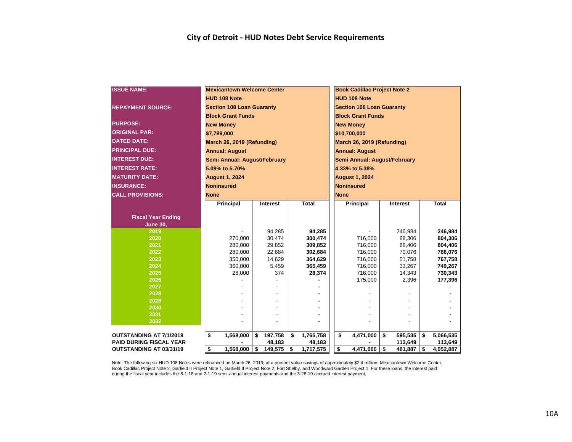| <b>ISSUE NAME:</b>                           | <b>Mexicantown Welcome Center</b> |                    |                 |                              | <b>Book Cadillac Project Note 2</b> |              |         |    |              |  |  |  |
|----------------------------------------------|-----------------------------------|--------------------|-----------------|------------------------------|-------------------------------------|--------------|---------|----|--------------|--|--|--|
|                                              | <b>HUD 108 Note</b>               |                    |                 |                              | <b>HUD 108 Note</b>                 |              |         |    |              |  |  |  |
| <b>REPAYMENT SOURCE:</b>                     | <b>Section 108 Loan Guaranty</b>  |                    |                 |                              | <b>Section 108 Loan Guaranty</b>    |              |         |    |              |  |  |  |
|                                              | <b>Block Grant Funds</b>          |                    |                 |                              | <b>Block Grant Funds</b>            |              |         |    |              |  |  |  |
| <b>PURPOSE:</b>                              | <b>New Monev</b>                  |                    |                 |                              | <b>New Monev</b>                    |              |         |    |              |  |  |  |
| <b>ORIGINAL PAR:</b>                         | \$7,789,000                       |                    |                 |                              | \$10,700,000                        |              |         |    |              |  |  |  |
| <b>DATED DATE:</b>                           | March 26, 2019 (Refunding)        |                    |                 |                              | March 26, 2019 (Refunding)          |              |         |    |              |  |  |  |
| <b>PRINCIPAL DUE:</b>                        | <b>Annual: August</b>             |                    |                 |                              | <b>Annual: August</b>               |              |         |    |              |  |  |  |
| <b>INTEREST DUE:</b>                         |                                   |                    |                 |                              |                                     |              |         |    |              |  |  |  |
|                                              | Semi Annual: August/February      |                    |                 |                              | Semi Annual: August/February        |              |         |    |              |  |  |  |
| <b>INTEREST RATE:</b>                        | 5.09% to 5.70%                    |                    |                 |                              | 4.33% to 5.38%                      |              |         |    |              |  |  |  |
| <b>MATURITY DATE:</b>                        | <b>August 1, 2024</b>             |                    |                 |                              | <b>August 1, 2024</b>               |              |         |    |              |  |  |  |
| <b>INSURANCE:</b>                            | <b>Noninsured</b>                 |                    |                 |                              | <b>Noninsured</b>                   |              |         |    |              |  |  |  |
| <b>CALL PROVISIONS:</b>                      | <b>None</b>                       |                    |                 |                              | <b>None</b>                         |              |         |    |              |  |  |  |
|                                              | <b>Principal</b>                  | <b>Interest</b>    | <b>Total</b>    |                              | <b>Principal</b>                    | Interest     |         |    | <b>Total</b> |  |  |  |
|                                              |                                   |                    |                 |                              |                                     |              |         |    |              |  |  |  |
| <b>Fiscal Year Ending</b><br><b>June 30,</b> |                                   |                    |                 |                              |                                     |              |         |    |              |  |  |  |
| 2019                                         |                                   | 94,285             | 94,285          |                              |                                     |              | 246,984 |    | 246,984      |  |  |  |
| 2020                                         | 270.000                           | 30,474             | 300,474         |                              | 716,000                             |              | 88,306  |    | 804,306      |  |  |  |
| 2021                                         | 280,000                           | 29,852             | 309,852         |                              | 716,000                             |              | 88,406  |    | 804,406      |  |  |  |
| 2022                                         | 280,000                           | 22,684             | 302,684         | 786,076<br>716,000<br>70,076 |                                     |              |         |    |              |  |  |  |
| 2023                                         | 350,000                           | 14,629             | 364,629         |                              | 716,000                             |              | 51,758  |    | 767,758      |  |  |  |
| 2024                                         | 360,000                           | 5,459              | 365,459         |                              | 716,000                             |              | 33,267  |    | 749,267      |  |  |  |
| 2025                                         | 28,000                            | 374                | 28,374          |                              | 716,000                             |              | 14,343  |    | 730,343      |  |  |  |
| 2026                                         |                                   |                    |                 |                              | 175,000                             |              | 2,396   |    | 177,396      |  |  |  |
| 2027                                         |                                   |                    |                 |                              |                                     |              |         |    |              |  |  |  |
| 2028                                         |                                   |                    |                 |                              |                                     |              |         |    |              |  |  |  |
| 2029                                         |                                   |                    |                 |                              |                                     |              |         |    |              |  |  |  |
| 2030<br>2031                                 |                                   |                    |                 |                              |                                     |              |         |    |              |  |  |  |
| 2032                                         |                                   |                    |                 |                              |                                     |              |         |    |              |  |  |  |
|                                              |                                   |                    |                 |                              |                                     |              |         |    |              |  |  |  |
| <b>OUTSTANDING AT 7/1/2018</b>               | \$<br>1,568,000                   | \$<br>197,758      | \$<br>1,765,758 |                              | \$<br>4,471,000                     | \$           | 595,535 | \$ | 5,066,535    |  |  |  |
| <b>PAID DURING FISCAL YEAR</b>               |                                   | 48,183             | 48,183          |                              |                                     |              | 113,649 |    | 113,649      |  |  |  |
| <b>OUTSTANDING AT 03/31/19</b>               | \$<br>1,568,000                   | \$<br>$149,575$ \$ | 1,717,575       |                              | \$<br>4.471.000                     | $\mathbf{s}$ | 481.887 | \$ | 4,952,887    |  |  |  |

Note: The following six HUD 108 Notes were refinanced on March 26, 2019, at a present value savings of approximately \$2.4 million: Mexicantown Welcome Center, Book Cadillac Project Note 2, Garfield II Project Note 1, Garfield II Project Note 2, Fort Shelby, and Woodward Garden Project 1. For these loans, the interest paid during the fiscal year includes the 8-1-18 and 2-1-19 semi-annual interest payments and the 3-26-19 accrued interest payment.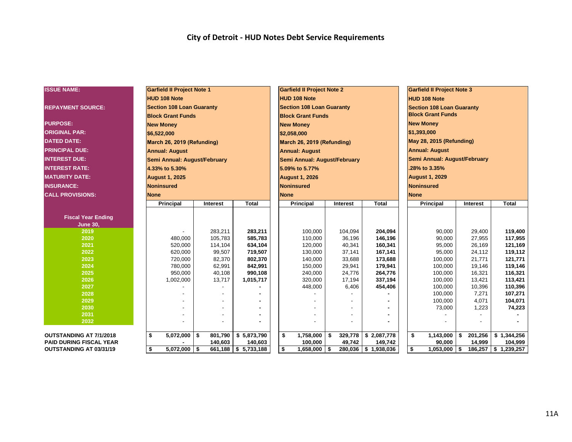#### **City of Detroit - HUD Notes Debt Service Requirements**

| <b>ISSUE NAME:</b>             | <b>Garfield II Project Note 1</b> |                     |                                 | <b>Garfield II Project Note 2</b> |                         |                        | <b>Garfield II Project Note 3</b> |                         |                     |  |  |  |
|--------------------------------|-----------------------------------|---------------------|---------------------------------|-----------------------------------|-------------------------|------------------------|-----------------------------------|-------------------------|---------------------|--|--|--|
|                                | <b>HUD 108 Note</b>               |                     |                                 | <b>HUD 108 Note</b>               |                         |                        | <b>HUD 108 Note</b>               |                         |                     |  |  |  |
| <b>REPAYMENT SOURCE:</b>       | <b>Section 108 Loan Guaranty</b>  |                     |                                 | <b>Section 108 Loan Guaranty</b>  |                         |                        | <b>Section 108 Loan Guaranty</b>  |                         |                     |  |  |  |
|                                | <b>Block Grant Funds</b>          |                     |                                 | <b>Block Grant Funds</b>          |                         |                        | <b>Block Grant Funds</b>          |                         |                     |  |  |  |
| <b>PURPOSE:</b>                | <b>New Monev</b>                  |                     |                                 | <b>New Monev</b>                  |                         |                        | <b>New Money</b>                  |                         |                     |  |  |  |
| <b>ORIGINAL PAR:</b>           | \$6,522,000                       |                     |                                 | \$2,058,000                       |                         |                        | \$1,393,000                       |                         |                     |  |  |  |
| <b>DATED DATE:</b>             | March 26, 2019 (Refunding)        |                     |                                 | March 26, 2019 (Refunding)        |                         |                        | May 28, 2015 (Refunding)          |                         |                     |  |  |  |
| <b>PRINCIPAL DUE:</b>          | <b>Annual: August</b>             |                     |                                 | <b>Annual: August</b>             |                         |                        | <b>Annual: August</b>             |                         |                     |  |  |  |
| <b>INTEREST DUE:</b>           | Semi Annual: August/February      |                     |                                 | Semi Annual: August/February      |                         |                        | Semi Annual: August/February      |                         |                     |  |  |  |
| <b>INTEREST RATE:</b>          | 4.33% to 5.30%                    |                     |                                 | 5.09% to 5.77%                    |                         |                        | .28% to 3.35%                     |                         |                     |  |  |  |
| <b>MATURITY DATE:</b>          | <b>August 1, 2025</b>             |                     |                                 | <b>August 1, 2026</b>             |                         |                        | <b>August 1, 2029</b>             |                         |                     |  |  |  |
| <b>INSURANCE:</b>              | Noninsured                        |                     |                                 | <b>Noninsured</b>                 |                         |                        | <b>Noninsured</b>                 |                         |                     |  |  |  |
| <b>CALL PROVISIONS:</b>        | <b>None</b>                       |                     |                                 | <b>None</b>                       |                         |                        | <b>None</b>                       |                         |                     |  |  |  |
|                                | Principal                         | Interest            | <b>Total</b>                    | <b>Principal</b>                  | Interest                | <b>Total</b>           | <b>Principal</b>                  | <b>Interest</b>         | <b>Total</b>        |  |  |  |
|                                |                                   |                     |                                 |                                   |                         |                        |                                   |                         |                     |  |  |  |
| <b>Fiscal Year Ending</b>      |                                   |                     |                                 |                                   |                         |                        |                                   |                         |                     |  |  |  |
| <b>June 30,</b>                |                                   |                     |                                 |                                   |                         |                        |                                   |                         |                     |  |  |  |
| 2019                           |                                   | 283,211             | 283,211                         | 100,000                           | 104,094                 | 204,094                | 90,000                            | 29,400                  | 119,400             |  |  |  |
| 2020<br>2021                   | 480,000<br>520,000                | 105,783<br>114,104  | 585,783<br>634,104              | 110,000<br>120,000                | 36,196<br>40,341        | 146,196<br>160,341     | 90,000<br>95,000                  | 27,955<br>26,169        | 117,955<br>121,169  |  |  |  |
| 2022                           | 620,000                           | 99,507              | 719,507                         | 130,000                           | 37,141                  | 167,141                | 95,000                            | 24,112                  | 119,112             |  |  |  |
| 2023                           | 720,000                           | 82,370              | 802,370                         | 140,000                           | 33,688                  | 173,688                | 100,000                           | 21,771                  | 121,771             |  |  |  |
| 2024                           | 780,000                           | 62,991              | 842,991                         | 150,000                           | 29,941                  | 179,941                | 100,000                           | 19,146                  | 119,146             |  |  |  |
| 2025                           | 950,000                           | 40,108              | 990,108                         | 240,000                           | 24,776                  | 264,776                | 100.000                           | 16,321                  | 116,321             |  |  |  |
| 2026                           | 1,002,000                         | 13,717              | 1,015,717                       | 320,000                           | 17,194                  | 337,194                | 100,000                           | 13,421                  | 113,421             |  |  |  |
| 2027                           |                                   |                     |                                 | 448,000                           | 6,406                   | 454,406                | 100,000                           | 10,396                  | 110,396             |  |  |  |
| 2028                           |                                   |                     |                                 |                                   |                         |                        | 100,000                           | 7,271                   | 107,271             |  |  |  |
| 2029                           |                                   |                     |                                 |                                   |                         |                        | 100,000                           | 4,071                   | 104,071             |  |  |  |
| 2030                           |                                   |                     |                                 |                                   |                         |                        | 73,000                            | 1,223                   | 74,223              |  |  |  |
| 2031                           |                                   |                     |                                 |                                   |                         |                        |                                   |                         |                     |  |  |  |
| 2032                           |                                   |                     |                                 |                                   |                         |                        |                                   |                         |                     |  |  |  |
| <b>OUTSTANDING AT 7/1/2018</b> | \$                                | 801,790             |                                 | \$                                |                         |                        | \$<br>1,143,000                   |                         | \$1,344,256         |  |  |  |
| PAID DURING FISCAL YEAR        | 5,072,000                         | <b>S</b><br>140,603 | \$5,873,790                     | 1,758,000<br>100,000              | 329,778<br>\$<br>49,742 | \$2,087,778            | 90,000                            | 201,256<br>\$<br>14,999 | 104,999             |  |  |  |
| OUTSTANDING AT 03/31/19        | 5,072,000<br>\$                   | $\sqrt{3}$          | 140,603<br>661,188 \$ 5,733,188 | \$<br>$1,658,000$ \ \$            | 280,036                 | 149,742<br>\$1,938,036 | \$<br>$1,053,000$ \$              |                         | 186,257 \$1,239,257 |  |  |  |
|                                |                                   |                     |                                 |                                   |                         |                        |                                   |                         |                     |  |  |  |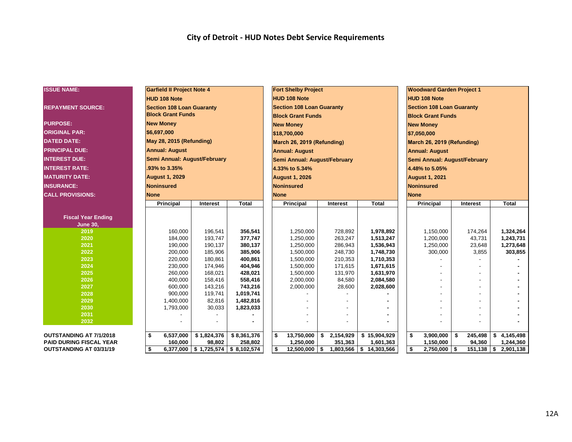#### **City of Detroit - HUD Notes Debt Service Requirements**

| <b>ISSUE NAME:</b>             | <b>Garfield II Project Note 4</b> |                                     |              | <b>Fort Shelby Project</b> |                                  |    |             | <b>Woodward Garden Project 1</b> |                            |                                  |    |          |    |                        |
|--------------------------------|-----------------------------------|-------------------------------------|--------------|----------------------------|----------------------------------|----|-------------|----------------------------------|----------------------------|----------------------------------|----|----------|----|------------------------|
|                                | <b>HUD 108 Note</b>               |                                     |              |                            | <b>HUD 108 Note</b>              |    |             |                                  |                            | <b>HUD 108 Note</b>              |    |          |    |                        |
| <b>REPAYMENT SOURCE:</b>       | <b>Section 108 Loan Guaranty</b>  |                                     |              |                            | <b>Section 108 Loan Guaranty</b> |    |             |                                  |                            | <b>Section 108 Loan Guaranty</b> |    |          |    |                        |
|                                | <b>Block Grant Funds</b>          |                                     |              |                            | <b>Block Grant Funds</b>         |    |             |                                  |                            | <b>Block Grant Funds</b>         |    |          |    |                        |
| <b>PURPOSE:</b>                | <b>New Money</b>                  |                                     |              |                            | <b>New Money</b>                 |    |             |                                  |                            | <b>New Money</b>                 |    |          |    |                        |
| <b>ORIGINAL PAR:</b>           | \$6,697,000                       |                                     |              |                            | \$18,700,000                     |    |             |                                  | \$7,050,000                |                                  |    |          |    |                        |
| <b>DATED DATE:</b>             |                                   | May 28, 2015 (Refunding)            |              |                            |                                  |    |             |                                  | March 26, 2019 (Refunding) |                                  |    |          |    |                        |
| <b>PRINCIPAL DUE:</b>          |                                   |                                     |              |                            | March 26, 2019 (Refunding)       |    |             |                                  |                            |                                  |    |          |    |                        |
|                                | <b>Annual: August</b>             |                                     |              |                            | <b>Annual: August</b>            |    |             |                                  |                            | <b>Annual: August</b>            |    |          |    |                        |
| <b>INTEREST DUE:</b>           | Semi Annual: August/February      |                                     |              |                            | Semi Annual: August/February     |    |             |                                  |                            | Semi Annual: August/February     |    |          |    |                        |
| <b>INTEREST RATE:</b>          | 93% to 3.35%                      |                                     |              |                            | 4.33% to 5.34%                   |    |             |                                  |                            | 4.48% to 5.05%                   |    |          |    |                        |
| <b>MATURITY DATE:</b>          | <b>August 1, 2029</b>             |                                     |              |                            | <b>August 1, 2026</b>            |    |             |                                  | <b>August 1, 2021</b>      |                                  |    |          |    |                        |
| <b>INSURANCE:</b>              | Noninsured                        |                                     |              |                            | <b>Noninsured</b>                |    |             |                                  | <b>Noninsured</b>          |                                  |    |          |    |                        |
| <b>CALL PROVISIONS:</b>        | <b>None</b>                       |                                     |              |                            | <b>None</b>                      |    | <b>None</b> |                                  |                            |                                  |    |          |    |                        |
|                                | Principal                         | Interest                            | <b>Total</b> |                            | Principal                        |    | Interest    | <b>Total</b>                     |                            | <b>Principal</b>                 |    | Interest |    | <b>Total</b>           |
|                                |                                   |                                     |              |                            |                                  |    |             |                                  |                            |                                  |    |          |    |                        |
| <b>Fiscal Year Ending</b>      |                                   |                                     |              |                            |                                  |    |             |                                  |                            |                                  |    |          |    |                        |
| <b>June 30,</b><br>2019        | 160,000                           | 196,541                             | 356,541      |                            | 1,250,000                        |    | 728,892     | 1,978,892                        |                            | 1,150,000                        |    | 174,264  |    | 1,324,264              |
| 2020                           | 184,000                           | 193,747                             | 377,747      |                            | 1,250,000                        |    | 263,247     | 1,513,247                        |                            | 1,200,000                        |    | 43,731   |    | 1,243,731              |
| 2021                           | 190,000                           | 190,137                             | 380,137      |                            | 1,250,000                        |    | 286,943     | 1,536,943                        |                            | 1,250,000                        |    | 23,648   |    | 1,273,648              |
| 2022                           | 200,000                           | 185,906                             | 385,906      |                            | 1,500,000                        |    | 248,730     | 1,748,730                        |                            | 300,000                          |    | 3,855    |    | 303,855                |
| 2023                           | 220,000                           | 180,861                             | 400,861      |                            | 1,500,000                        |    | 210,353     | 1,710,353                        |                            |                                  |    |          |    |                        |
| 2024                           | 230,000                           | 174,946                             | 404,946      |                            | 1,500,000                        |    | 171,615     | 1,671,615                        |                            |                                  |    |          |    |                        |
| 2025                           | 260,000                           | 168,021                             | 428,021      |                            | 1,500,000                        |    | 131,970     | 1,631,970                        |                            |                                  |    |          |    |                        |
| 2026                           | 400,000                           | 158,416                             | 558,416      |                            | 2,000,000                        |    | 84,580      | 2,084,580                        |                            |                                  |    |          |    |                        |
| 2027                           | 600,000                           | 143,216                             | 743,216      |                            | 2,000,000                        |    | 28,600      | 2,028,600                        |                            |                                  |    |          |    |                        |
| 2028                           | 900,000                           | 119,741                             | 1,019,741    |                            |                                  |    |             |                                  |                            |                                  |    |          |    |                        |
| 2029                           | 1,400,000                         | 82,816                              | 1,482,816    |                            |                                  |    |             |                                  |                            |                                  |    |          |    |                        |
| 2030                           | 1,793,000                         | 30,033                              | 1,823,033    |                            |                                  |    |             |                                  |                            |                                  |    |          |    |                        |
| 2031                           |                                   |                                     |              |                            |                                  |    |             |                                  |                            |                                  |    |          |    |                        |
| 2032                           |                                   |                                     |              |                            |                                  |    |             |                                  |                            |                                  |    |          |    |                        |
| OUTSTANDING AT 7/1/2018        | \$<br>6,537,000                   | \$1,824,376                         | \$8,361,376  |                            | \$<br>13,750,000                 | \$ | 2,154,929   | \$15,904,929                     | \$                         | 3,900,000                        | \$ | 245,498  | \$ | 4,145,498              |
| <b>PAID DURING FISCAL YEAR</b> | 160,000                           | 98,802                              | 258,802      |                            | 1,250,000                        |    | 351,363     | 1,601,363                        |                            | 1,150,000                        |    | 94,360   |    | 1,244,360              |
| <b>OUTSTANDING AT 03/31/19</b> | \$                                | 6,377,000 \$ 1,725,574 \$ 8,102,574 |              |                            | \$<br>$12,500,000$ \$            |    |             | 1,803,566   \$ 14,303,566        | \$                         | $2,750,000$ \$                   |    |          |    | $151,138$ \$ 2,901,138 |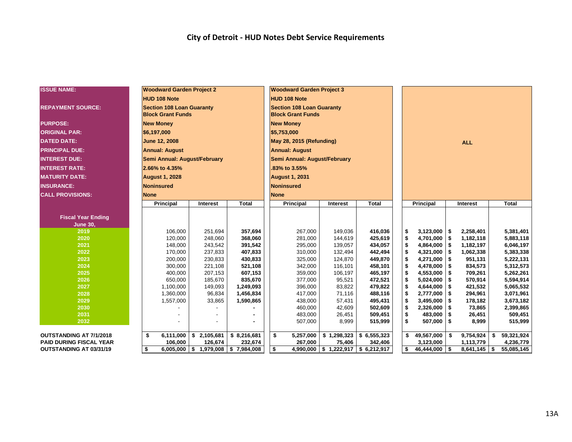#### **City of Detroit - HUD Notes Debt Service Requirements**

| <b>ISSUE NAME:</b>             | <b>Woodward Garden Project 2</b> |                                       |              | <b>Woodward Garden Project 3</b> |                                                     |              |                  |                   |                        |  |  |
|--------------------------------|----------------------------------|---------------------------------------|--------------|----------------------------------|-----------------------------------------------------|--------------|------------------|-------------------|------------------------|--|--|
|                                | <b>HUD 108 Note</b>              |                                       |              | <b>HUD 108 Note</b>              |                                                     |              |                  |                   |                        |  |  |
| <b>REPAYMENT SOURCE:</b>       | <b>Section 108 Loan Guaranty</b> |                                       |              | <b>Section 108 Loan Guaranty</b> |                                                     |              |                  |                   |                        |  |  |
|                                | <b>Block Grant Funds</b>         |                                       |              | <b>Block Grant Funds</b>         |                                                     |              |                  |                   |                        |  |  |
| <b>PURPOSE:</b>                | <b>New Money</b>                 |                                       |              | <b>New Money</b>                 |                                                     |              |                  |                   |                        |  |  |
| <b>ORIGINAL PAR:</b>           | \$6,197,000                      |                                       |              | \$5,753,000                      |                                                     |              |                  |                   |                        |  |  |
| <b>DATED DATE:</b>             | June 12, 2008                    |                                       |              | May 28, 2015 (Refunding)         |                                                     |              | <b>ALL</b>       |                   |                        |  |  |
| <b>PRINCIPAL DUE:</b>          | <b>Annual: August</b>            |                                       |              | <b>Annual: August</b>            |                                                     |              |                  |                   |                        |  |  |
| <b>INTEREST DUE:</b>           | Semi Annual: August/February     |                                       |              | Semi Annual: August/February     |                                                     |              |                  |                   |                        |  |  |
| <b>INTEREST RATE:</b>          | 2.66% to 4.35%                   |                                       |              | .83% to 3.55%                    |                                                     |              |                  |                   |                        |  |  |
| <b>MATURITY DATE:</b>          | <b>August 1, 2028</b>            |                                       |              | <b>August 1, 2031</b>            |                                                     |              |                  |                   |                        |  |  |
| <b>INSURANCE:</b>              | <b>Noninsured</b>                |                                       |              | Noninsured                       |                                                     |              |                  |                   |                        |  |  |
| <b>CALL PROVISIONS:</b>        | <b>None</b>                      |                                       |              | <b>None</b>                      |                                                     |              |                  |                   |                        |  |  |
|                                |                                  |                                       | <b>Total</b> |                                  |                                                     | <b>Total</b> |                  |                   | <b>Total</b>           |  |  |
|                                | <b>Principal</b>                 | Interest                              |              | Principal                        | Interest                                            |              | Principal        | Interest          |                        |  |  |
| <b>Fiscal Year Ending</b>      |                                  |                                       |              |                                  |                                                     |              |                  |                   |                        |  |  |
| <b>June 30,</b>                |                                  |                                       |              |                                  |                                                     |              |                  |                   |                        |  |  |
| 2019                           | 106,000                          | 251,694                               | 357,694      | 267,000                          | 149,036                                             | 416,036      | \$<br>3,123,000  | l \$<br>2,258,401 | 5,381,401              |  |  |
| 2020                           | 120,000                          | 248,060                               | 368,060      | 281,000                          | 144,619                                             | 425,619      | \$<br>4,701,000  | l \$<br>1,182,118 | 5,883,118              |  |  |
| 2021                           | 148,000                          | 243,542                               | 391,542      | 295,000                          | 139,057                                             | 434,057      | \$<br>4,864,000  | \$<br>1,182,197   | 6,046,197              |  |  |
| 2022                           | 170,000                          | 237,833                               | 407,833      | 310,000                          | 132,494                                             | 442,494      | \$<br>4,321,000  | l \$<br>1,062,338 | 5,383,338              |  |  |
| 2023                           | 200,000                          | 230,833                               | 430,833      | 325,000                          | 124,870                                             | 449,870      | \$<br>4,271,000  | 951,131<br>l \$   | 5,222,131              |  |  |
| 2024                           | 300,000                          | 221,108                               | 521,108      | 342,000                          | 116,101                                             | 458,101      | \$<br>4,478,000  | 834,573<br>l \$   | 5,312,573              |  |  |
| 2025                           | 400,000                          | 207,153                               | 607,153      | 359,000                          | 106.197                                             | 465,197      | \$<br>4,553,000  | -\$<br>709,261    | 5,262,261              |  |  |
| 2026                           | 650,000                          | 185,670                               | 835,670      | 377,000                          | 95,521                                              | 472,521      | \$<br>5,024,000  | 570,914<br>-\$    | 5,594,914              |  |  |
| 2027                           | 1,100,000                        | 149,093                               | 1,249,093    | 396,000                          | 83,822                                              | 479,822      | \$<br>4,644,000  | -\$<br>421,532    | 5,065,532              |  |  |
| 2028                           | 1,360,000                        | 96,834                                | 1,456,834    | 417,000                          | 71,116                                              | 488,116      | \$<br>2,777,000  | \$<br>294,961     | 3,071,961              |  |  |
| 2029                           | 1,557,000                        | 33,865                                | 1,590,865    | 438,000                          | 57,431                                              | 495,431      | \$<br>3,495,000  | -\$<br>178,182    | 3,673,182              |  |  |
| 2030                           |                                  |                                       |              | 460,000                          | 42,609                                              | 502,609      | \$<br>2,326,000  | -\$<br>73,865     | 2,399,865              |  |  |
| 2031                           |                                  |                                       |              | 483,000                          | 26,451                                              | 509,451      | \$<br>483,000    | l \$<br>26,451    | 509,451                |  |  |
| 2032                           |                                  |                                       |              | 507,000                          | 8,999                                               | 515,999      | \$<br>507,000    | l \$<br>8,999     | 515,999                |  |  |
| <b>OUTSTANDING AT 7/1/2018</b> | \$<br>6,111,000                  | \$2,105,681                           | \$8,216,681  | 5,257,000<br>\$                  | \$1,298,323                                         | \$6,555,323  | 49,567,000<br>\$ | 9,754,924<br>\$   | 59,321,924<br>\$       |  |  |
| <b>PAID DURING FISCAL YEAR</b> | 106,000                          | 126,674                               | 232,674      | 267.000                          | 75,406                                              | 342,406      | 3,123,000        | 1,113,779         | 4,236,779              |  |  |
| <b>OUTSTANDING AT 03/31/19</b> | \$                               | $6,005,000$ \$ 1,979,008 \$ 7,984,008 |              | \$                               | 4,990,000 $\vert$ \$ 1,222,917 $\vert$ \$ 6,212,917 |              | \$<br>46,444,000 | l \$<br>8,641,145 | <b>S</b><br>55,085,145 |  |  |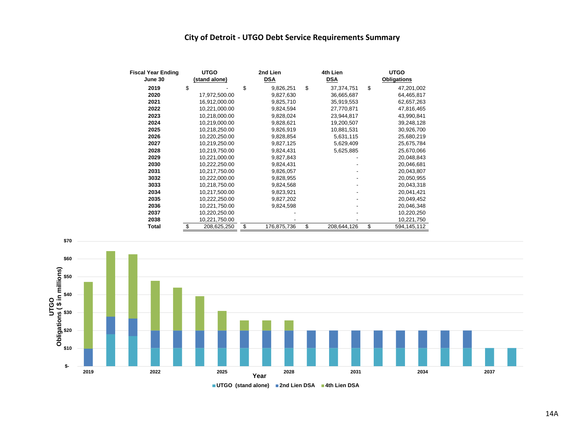#### **City of Detroit - UTGO Debt Service Requirements Summary**

| <b>Fiscal Year Ending</b> | <b>UTGO</b>       | 2nd Lien          | 4th Lien           | <b>UTGO</b> |                    |  |  |  |
|---------------------------|-------------------|-------------------|--------------------|-------------|--------------------|--|--|--|
| June 30                   | (stand alone)     | <b>DSA</b>        | <b>DSA</b>         |             | <b>Obligations</b> |  |  |  |
| 2019                      | \$                | \$<br>9,826,251   | \$<br>37, 374, 751 | \$          | 47,201,002         |  |  |  |
| 2020                      | 17,972,500.00     | 9,827,630         | 36,665,687         |             | 64,465,817         |  |  |  |
| 2021                      | 16,912,000.00     | 9,825,710         | 35,919,553         |             | 62,657,263         |  |  |  |
| 2022                      | 10,221,000.00     | 9,824,594         | 27,770,871         |             | 47,816,465         |  |  |  |
| 2023                      | 10,218,000.00     | 9,828,024         | 23,944,817         |             | 43,990,841         |  |  |  |
| 2024                      | 10,219,000.00     | 9,828,621         | 19,200,507         |             | 39,248,128         |  |  |  |
| 2025                      | 10,218,250.00     | 9,826,919         | 10,881,531         |             | 30,926,700         |  |  |  |
| 2026                      | 10,220,250.00     | 9,828,854         | 5,631,115          |             | 25,680,219         |  |  |  |
| 2027                      | 10,219,250.00     | 9,827,125         | 5,629,409          |             | 25,675,784         |  |  |  |
| 2028                      | 10,219,750.00     | 9,824,431         | 5,625,885          |             | 25,670,066         |  |  |  |
| 2029                      | 10,221,000.00     | 9,827,843         |                    |             | 20,048,843         |  |  |  |
| 2030                      | 10,222,250.00     | 9,824,431         |                    |             | 20,046,681         |  |  |  |
| 2031                      | 10,217,750.00     | 9,826,057         |                    |             | 20,043,807         |  |  |  |
| 3032                      | 10,222,000.00     | 9,828,955         |                    |             | 20,050,955         |  |  |  |
| 3033                      | 10,218,750.00     | 9,824,568         |                    |             | 20,043,318         |  |  |  |
| 2034                      | 10,217,500.00     | 9,823,921         |                    |             | 20,041,421         |  |  |  |
| 2035                      | 10,222,250.00     | 9,827,202         |                    |             | 20,049,452         |  |  |  |
| 2036                      | 10,221,750.00     | 9,824,598         |                    |             | 20,046,348         |  |  |  |
| 2037                      | 10,220,250.00     |                   |                    |             | 10,220,250         |  |  |  |
| 2038                      | 10,221,750.00     |                   |                    |             | 10,221,750         |  |  |  |
| Total                     | \$<br>208,625,250 | \$<br>176,875,736 | \$<br>208,644,126  | \$          | 594,145,112        |  |  |  |



**UTGO (stand alone) 2nd Lien DSA 4th Lien DSA**